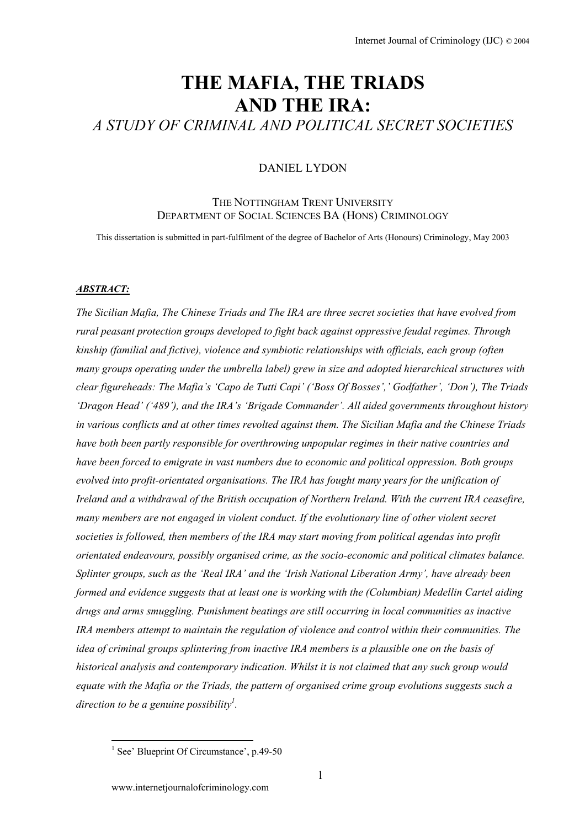# **THE MAFIA, THE TRIADS AND THE IRA:**  *A STUDY OF CRIMINAL AND POLITICAL SECRET SOCIETIES*

### DANIEL LYDON

## THE NOTTINGHAM TRENT I INIVERSITY DEPARTMENT OF SOCIAL SCIENCES BA (HONS) CRIMINOLOGY

This dissertation is submitted in part-fulfilment of the degree of Bachelor of Arts (Honours) Criminology, May 2003

#### *ABSTRACT:*

*The Sicilian Mafia, The Chinese Triads and The IRA are three secret societies that have evolved from rural peasant protection groups developed to fight back against oppressive feudal regimes. Through kinship (familial and fictive), violence and symbiotic relationships with officials, each group (often many groups operating under the umbrella label) grew in size and adopted hierarchical structures with clear figureheads: The Mafia's 'Capo de Tutti Capi' ('Boss Of Bosses',' Godfather', 'Don'), The Triads 'Dragon Head' ('489'), and the IRA's 'Brigade Commander'. All aided governments throughout history in various conflicts and at other times revolted against them. The Sicilian Mafia and the Chinese Triads have both been partly responsible for overthrowing unpopular regimes in their native countries and have been forced to emigrate in vast numbers due to economic and political oppression. Both groups evolved into profit-orientated organisations. The IRA has fought many years for the unification of Ireland and a withdrawal of the British occupation of Northern Ireland. With the current IRA ceasefire, many members are not engaged in violent conduct. If the evolutionary line of other violent secret societies is followed, then members of the IRA may start moving from political agendas into profit orientated endeavours, possibly organised crime, as the socio-economic and political climates balance. Splinter groups, such as the 'Real IRA' and the 'Irish National Liberation Army', have already been formed and evidence suggests that at least one is working with the (Columbian) Medellin Cartel aiding drugs and arms smuggling. Punishment beatings are still occurring in local communities as inactive IRA members attempt to maintain the regulation of violence and control within their communities. The idea of criminal groups splintering from inactive IRA members is a plausible one on the basis of historical analysis and contemporary indication. Whilst it is not claimed that any such group would equate with the Mafia or the Triads, the pattern of organised crime group evolutions suggests such a direction to be a genuine possibility[1](#page-0-0) .* 

<span id="page-0-0"></span><sup>&</sup>lt;sup>1</sup> See' Blueprint Of Circumstance', p.49-50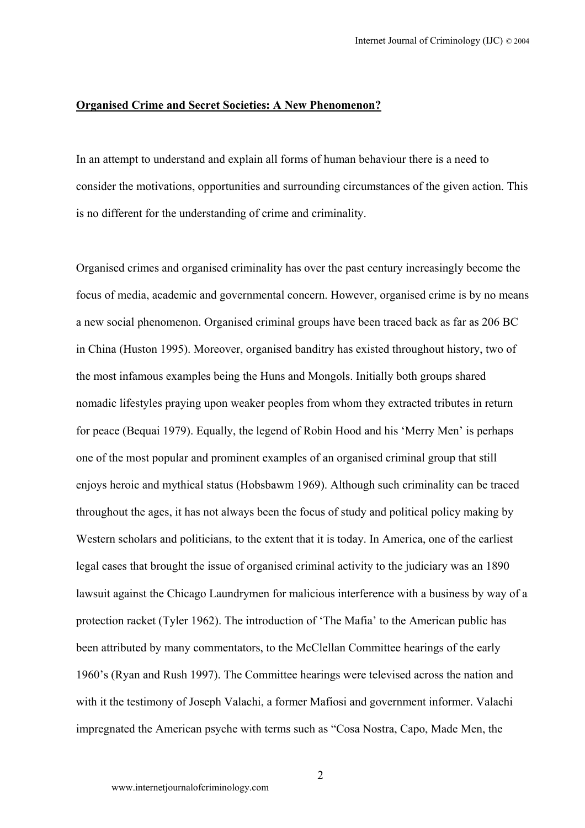#### **Organised Crime and Secret Societies: A New Phenomenon?**

In an attempt to understand and explain all forms of human behaviour there is a need to consider the motivations, opportunities and surrounding circumstances of the given action. This is no different for the understanding of crime and criminality.

Organised crimes and organised criminality has over the past century increasingly become the focus of media, academic and governmental concern. However, organised crime is by no means a new social phenomenon. Organised criminal groups have been traced back as far as 206 BC in China (Huston 1995). Moreover, organised banditry has existed throughout history, two of the most infamous examples being the Huns and Mongols. Initially both groups shared nomadic lifestyles praying upon weaker peoples from whom they extracted tributes in return for peace (Bequai 1979). Equally, the legend of Robin Hood and his 'Merry Men' is perhaps one of the most popular and prominent examples of an organised criminal group that still enjoys heroic and mythical status (Hobsbawm 1969). Although such criminality can be traced throughout the ages, it has not always been the focus of study and political policy making by Western scholars and politicians, to the extent that it is today. In America, one of the earliest legal cases that brought the issue of organised criminal activity to the judiciary was an 1890 lawsuit against the Chicago Laundrymen for malicious interference with a business by way of a protection racket (Tyler 1962). The introduction of 'The Mafia' to the American public has been attributed by many commentators, to the McClellan Committee hearings of the early 1960's (Ryan and Rush 1997). The Committee hearings were televised across the nation and with it the testimony of Joseph Valachi, a former Mafiosi and government informer. Valachi impregnated the American psyche with terms such as "Cosa Nostra, Capo, Made Men, the

2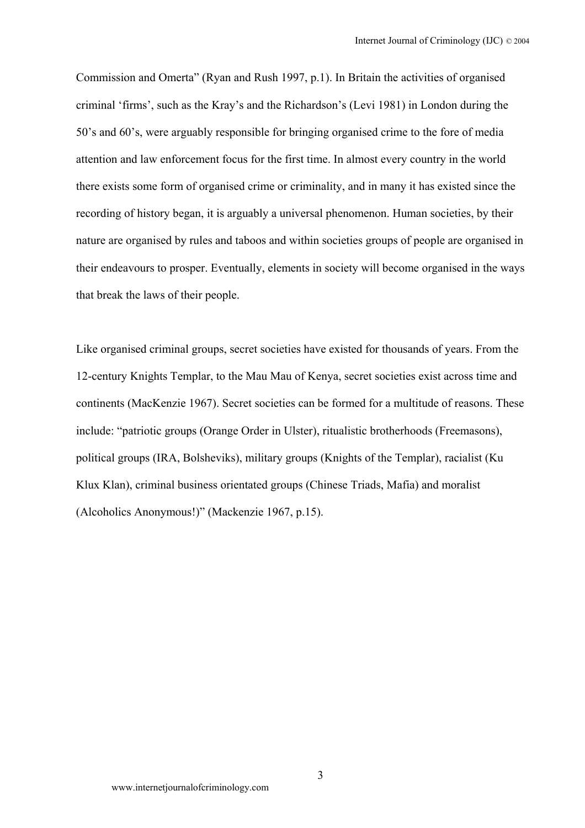Commission and Omerta" (Ryan and Rush 1997, p.1). In Britain the activities of organised criminal 'firms', such as the Kray's and the Richardson's (Levi 1981) in London during the 50's and 60's, were arguably responsible for bringing organised crime to the fore of media attention and law enforcement focus for the first time. In almost every country in the world there exists some form of organised crime or criminality, and in many it has existed since the recording of history began, it is arguably a universal phenomenon. Human societies, by their nature are organised by rules and taboos and within societies groups of people are organised in their endeavours to prosper. Eventually, elements in society will become organised in the ways that break the laws of their people.

Like organised criminal groups, secret societies have existed for thousands of years. From the 12-century Knights Templar, to the Mau Mau of Kenya, secret societies exist across time and continents (MacKenzie 1967). Secret societies can be formed for a multitude of reasons. These include: "patriotic groups (Orange Order in Ulster), ritualistic brotherhoods (Freemasons), political groups (IRA, Bolsheviks), military groups (Knights of the Templar), racialist (Ku Klux Klan), criminal business orientated groups (Chinese Triads, Mafia) and moralist (Alcoholics Anonymous!)" (Mackenzie 1967, p.15).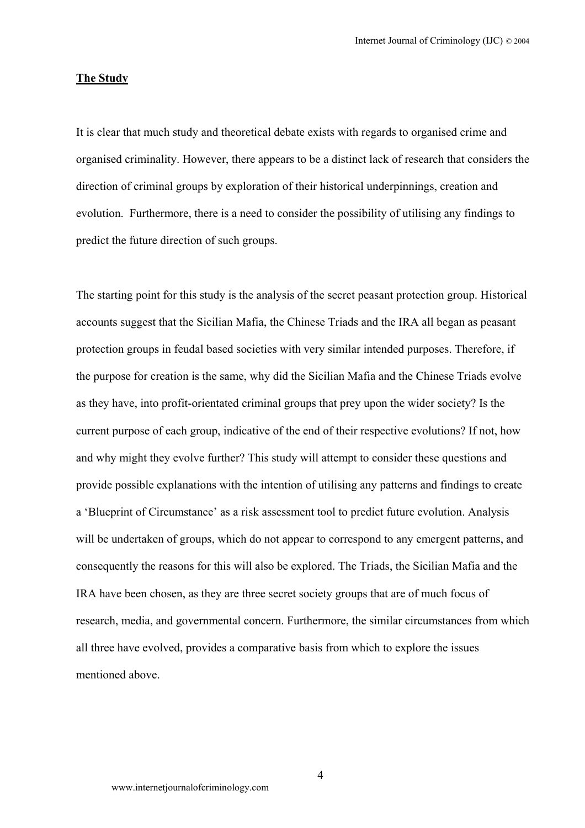#### **The Study**

It is clear that much study and theoretical debate exists with regards to organised crime and organised criminality. However, there appears to be a distinct lack of research that considers the direction of criminal groups by exploration of their historical underpinnings, creation and evolution. Furthermore, there is a need to consider the possibility of utilising any findings to predict the future direction of such groups.

The starting point for this study is the analysis of the secret peasant protection group. Historical accounts suggest that the Sicilian Mafia, the Chinese Triads and the IRA all began as peasant protection groups in feudal based societies with very similar intended purposes. Therefore, if the purpose for creation is the same, why did the Sicilian Mafia and the Chinese Triads evolve as they have, into profit-orientated criminal groups that prey upon the wider society? Is the current purpose of each group, indicative of the end of their respective evolutions? If not, how and why might they evolve further? This study will attempt to consider these questions and provide possible explanations with the intention of utilising any patterns and findings to create a 'Blueprint of Circumstance' as a risk assessment tool to predict future evolution. Analysis will be undertaken of groups, which do not appear to correspond to any emergent patterns, and consequently the reasons for this will also be explored. The Triads, the Sicilian Mafia and the IRA have been chosen, as they are three secret society groups that are of much focus of research, media, and governmental concern. Furthermore, the similar circumstances from which all three have evolved, provides a comparative basis from which to explore the issues mentioned above.

4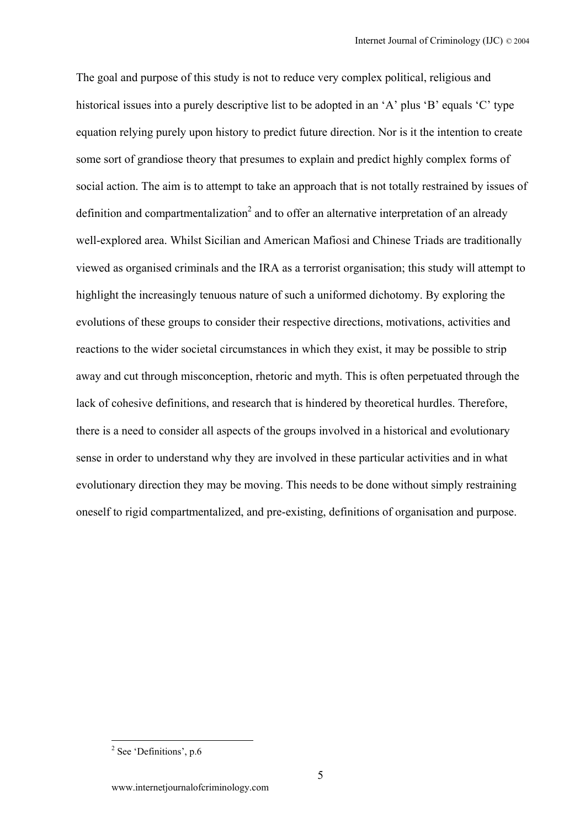The goal and purpose of this study is not to reduce very complex political, religious and historical issues into a purely descriptive list to be adopted in an 'A' plus 'B' equals 'C' type equation relying purely upon history to predict future direction. Nor is it the intention to create some sort of grandiose theory that presumes to explain and predict highly complex forms of social action. The aim is to attempt to take an approach that is not totally restrained by issues of definition and compartmentalization<sup>2</sup> and to offer an alternative interpretation of an already well-explored area. Whilst Sicilian and American Mafiosi and Chinese Triads are traditionally viewed as organised criminals and the IRA as a terrorist organisation; this study will attempt to highlight the increasingly tenuous nature of such a uniformed dichotomy. By exploring the evolutions of these groups to consider their respective directions, motivations, activities and reactions to the wider societal circumstances in which they exist, it may be possible to strip away and cut through misconception, rhetoric and myth. This is often perpetuated through the lack of cohesive definitions, and research that is hindered by theoretical hurdles. Therefore, there is a need to consider all aspects of the groups involved in a historical and evolutionary sense in order to understand why they are involved in these particular activities and in what evolutionary direction they may be moving. This needs to be done without simply restraining oneself to rigid compartmentalized, and pre-existing, definitions of organisation and purpose.

<span id="page-4-0"></span><sup>2</sup> See 'Definitions', p.6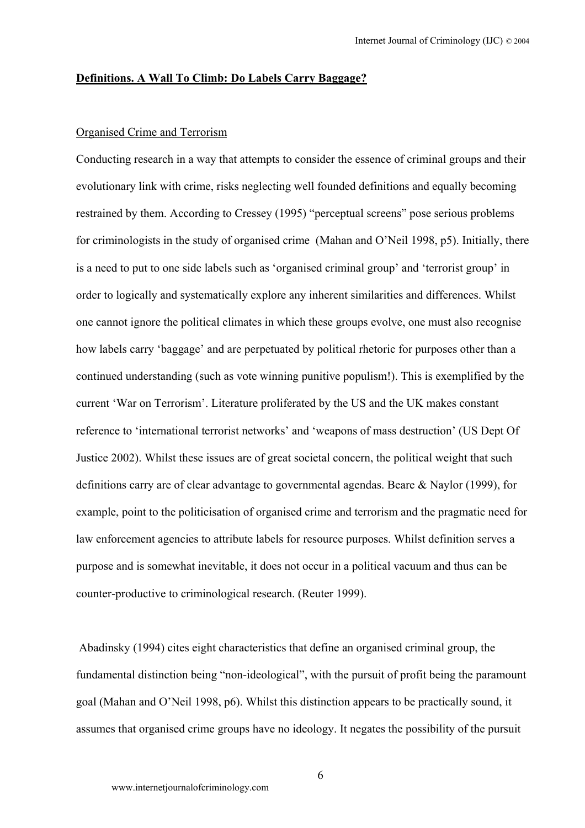#### **Definitions. A Wall To Climb: Do Labels Carry Baggage?**

#### Organised Crime and Terrorism

Conducting research in a way that attempts to consider the essence of criminal groups and their evolutionary link with crime, risks neglecting well founded definitions and equally becoming restrained by them. According to Cressey (1995) "perceptual screens" pose serious problems for criminologists in the study of organised crime (Mahan and O'Neil 1998, p5). Initially, there is a need to put to one side labels such as 'organised criminal group' and 'terrorist group' in order to logically and systematically explore any inherent similarities and differences. Whilst one cannot ignore the political climates in which these groups evolve, one must also recognise how labels carry 'baggage' and are perpetuated by political rhetoric for purposes other than a continued understanding (such as vote winning punitive populism!). This is exemplified by the current 'War on Terrorism'. Literature proliferated by the US and the UK makes constant reference to 'international terrorist networks' and 'weapons of mass destruction' (US Dept Of Justice 2002). Whilst these issues are of great societal concern, the political weight that such definitions carry are of clear advantage to governmental agendas. Beare & Naylor (1999), for example, point to the politicisation of organised crime and terrorism and the pragmatic need for law enforcement agencies to attribute labels for resource purposes. Whilst definition serves a purpose and is somewhat inevitable, it does not occur in a political vacuum and thus can be counter-productive to criminological research. (Reuter 1999).

 Abadinsky (1994) cites eight characteristics that define an organised criminal group, the fundamental distinction being "non-ideological", with the pursuit of profit being the paramount goal (Mahan and O'Neil 1998, p6). Whilst this distinction appears to be practically sound, it assumes that organised crime groups have no ideology. It negates the possibility of the pursuit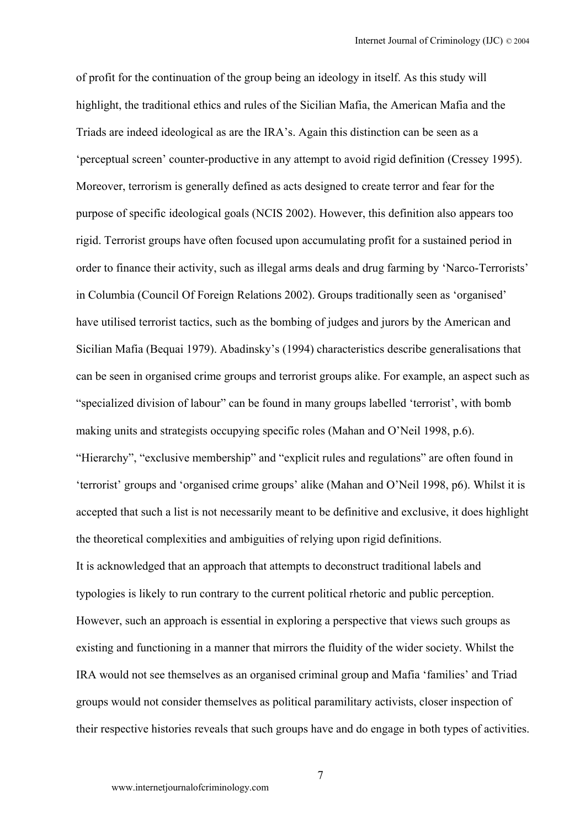of profit for the continuation of the group being an ideology in itself. As this study will highlight, the traditional ethics and rules of the Sicilian Mafia, the American Mafia and the Triads are indeed ideological as are the IRA's. Again this distinction can be seen as a 'perceptual screen' counter-productive in any attempt to avoid rigid definition (Cressey 1995). Moreover, terrorism is generally defined as acts designed to create terror and fear for the purpose of specific ideological goals (NCIS 2002). However, this definition also appears too rigid. Terrorist groups have often focused upon accumulating profit for a sustained period in order to finance their activity, such as illegal arms deals and drug farming by 'Narco-Terrorists' in Columbia (Council Of Foreign Relations 2002). Groups traditionally seen as 'organised' have utilised terrorist tactics, such as the bombing of judges and jurors by the American and Sicilian Mafia (Bequai 1979). Abadinsky's (1994) characteristics describe generalisations that can be seen in organised crime groups and terrorist groups alike. For example, an aspect such as "specialized division of labour" can be found in many groups labelled 'terrorist', with bomb making units and strategists occupying specific roles (Mahan and O'Neil 1998, p.6). "Hierarchy", "exclusive membership" and "explicit rules and regulations" are often found in 'terrorist' groups and 'organised crime groups' alike (Mahan and O'Neil 1998, p6). Whilst it is accepted that such a list is not necessarily meant to be definitive and exclusive, it does highlight the theoretical complexities and ambiguities of relying upon rigid definitions. It is acknowledged that an approach that attempts to deconstruct traditional labels and typologies is likely to run contrary to the current political rhetoric and public perception. However, such an approach is essential in exploring a perspective that views such groups as existing and functioning in a manner that mirrors the fluidity of the wider society. Whilst the IRA would not see themselves as an organised criminal group and Mafia 'families' and Triad groups would not consider themselves as political paramilitary activists, closer inspection of their respective histories reveals that such groups have and do engage in both types of activities.

7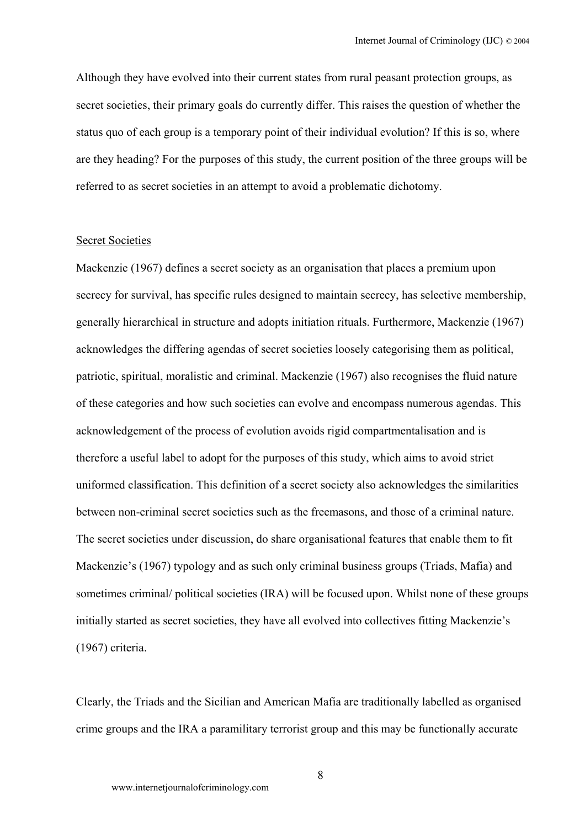Although they have evolved into their current states from rural peasant protection groups, as secret societies, their primary goals do currently differ. This raises the question of whether the status quo of each group is a temporary point of their individual evolution? If this is so, where are they heading? For the purposes of this study, the current position of the three groups will be referred to as secret societies in an attempt to avoid a problematic dichotomy.

#### Secret Societies

Mackenzie (1967) defines a secret society as an organisation that places a premium upon secrecy for survival, has specific rules designed to maintain secrecy, has selective membership, generally hierarchical in structure and adopts initiation rituals. Furthermore, Mackenzie (1967) acknowledges the differing agendas of secret societies loosely categorising them as political, patriotic, spiritual, moralistic and criminal. Mackenzie (1967) also recognises the fluid nature of these categories and how such societies can evolve and encompass numerous agendas. This acknowledgement of the process of evolution avoids rigid compartmentalisation and is therefore a useful label to adopt for the purposes of this study, which aims to avoid strict uniformed classification. This definition of a secret society also acknowledges the similarities between non-criminal secret societies such as the freemasons, and those of a criminal nature. The secret societies under discussion, do share organisational features that enable them to fit Mackenzie's (1967) typology and as such only criminal business groups (Triads, Mafia) and sometimes criminal/ political societies (IRA) will be focused upon. Whilst none of these groups initially started as secret societies, they have all evolved into collectives fitting Mackenzie's (1967) criteria.

Clearly, the Triads and the Sicilian and American Mafia are traditionally labelled as organised crime groups and the IRA a paramilitary terrorist group and this may be functionally accurate

8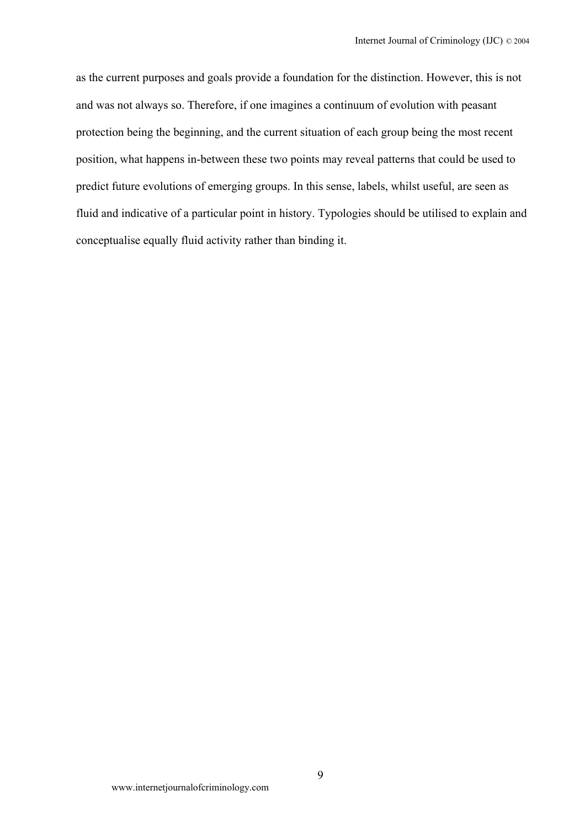as the current purposes and goals provide a foundation for the distinction. However, this is not and was not always so. Therefore, if one imagines a continuum of evolution with peasant protection being the beginning, and the current situation of each group being the most recent position, what happens in-between these two points may reveal patterns that could be used to predict future evolutions of emerging groups. In this sense, labels, whilst useful, are seen as fluid and indicative of a particular point in history. Typologies should be utilised to explain and conceptualise equally fluid activity rather than binding it.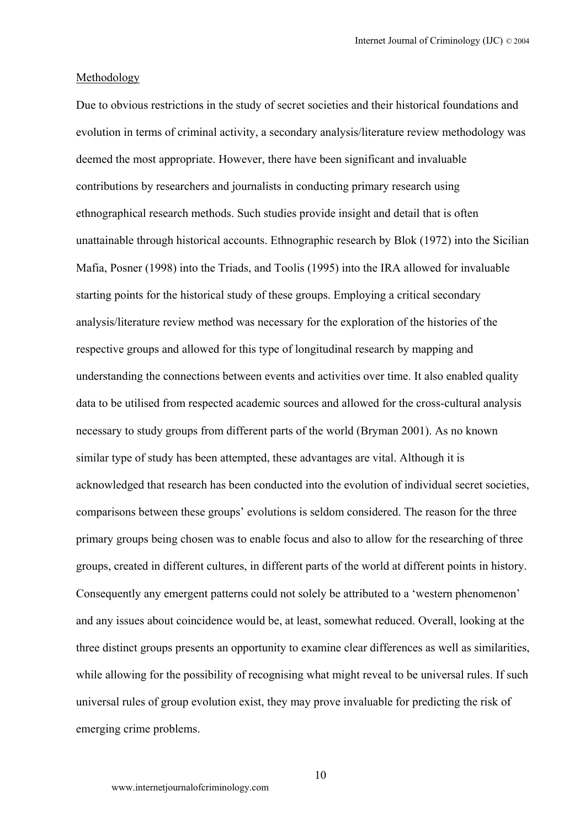#### Methodology

Due to obvious restrictions in the study of secret societies and their historical foundations and evolution in terms of criminal activity, a secondary analysis/literature review methodology was deemed the most appropriate. However, there have been significant and invaluable contributions by researchers and journalists in conducting primary research using ethnographical research methods. Such studies provide insight and detail that is often unattainable through historical accounts. Ethnographic research by Blok (1972) into the Sicilian Mafia, Posner (1998) into the Triads, and Toolis (1995) into the IRA allowed for invaluable starting points for the historical study of these groups. Employing a critical secondary analysis/literature review method was necessary for the exploration of the histories of the respective groups and allowed for this type of longitudinal research by mapping and understanding the connections between events and activities over time. It also enabled quality data to be utilised from respected academic sources and allowed for the cross-cultural analysis necessary to study groups from different parts of the world (Bryman 2001). As no known similar type of study has been attempted, these advantages are vital. Although it is acknowledged that research has been conducted into the evolution of individual secret societies, comparisons between these groups' evolutions is seldom considered. The reason for the three primary groups being chosen was to enable focus and also to allow for the researching of three groups, created in different cultures, in different parts of the world at different points in history. Consequently any emergent patterns could not solely be attributed to a 'western phenomenon' and any issues about coincidence would be, at least, somewhat reduced. Overall, looking at the three distinct groups presents an opportunity to examine clear differences as well as similarities, while allowing for the possibility of recognising what might reveal to be universal rules. If such universal rules of group evolution exist, they may prove invaluable for predicting the risk of emerging crime problems.

10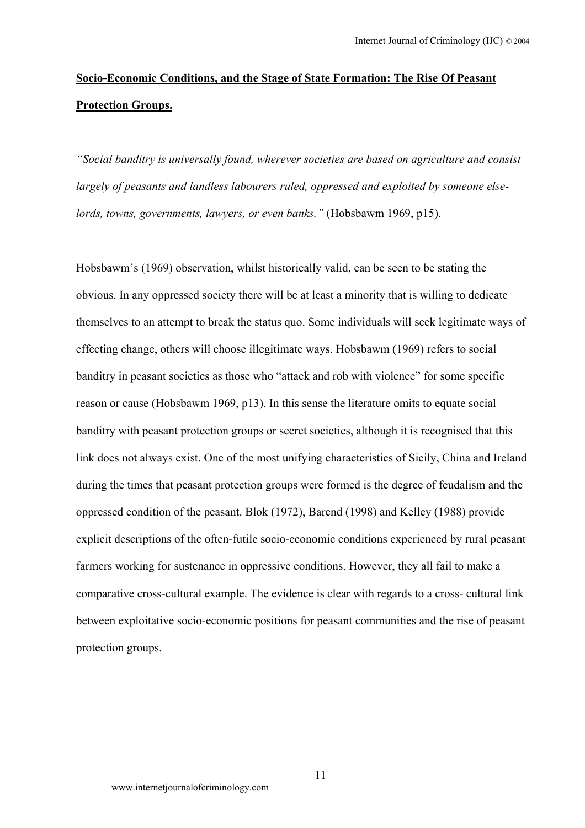# **Socio-Economic Conditions, and the Stage of State Formation: The Rise Of Peasant Protection Groups.**

*"Social banditry is universally found, wherever societies are based on agriculture and consist largely of peasants and landless labourers ruled, oppressed and exploited by someone elselords, towns, governments, lawyers, or even banks."* (Hobsbawm 1969, p15).

Hobsbawm's (1969) observation, whilst historically valid, can be seen to be stating the obvious. In any oppressed society there will be at least a minority that is willing to dedicate themselves to an attempt to break the status quo. Some individuals will seek legitimate ways of effecting change, others will choose illegitimate ways. Hobsbawm (1969) refers to social banditry in peasant societies as those who "attack and rob with violence" for some specific reason or cause (Hobsbawm 1969, p13). In this sense the literature omits to equate social banditry with peasant protection groups or secret societies, although it is recognised that this link does not always exist. One of the most unifying characteristics of Sicily, China and Ireland during the times that peasant protection groups were formed is the degree of feudalism and the oppressed condition of the peasant. Blok (1972), Barend (1998) and Kelley (1988) provide explicit descriptions of the often-futile socio-economic conditions experienced by rural peasant farmers working for sustenance in oppressive conditions. However, they all fail to make a comparative cross-cultural example. The evidence is clear with regards to a cross- cultural link between exploitative socio-economic positions for peasant communities and the rise of peasant protection groups.

11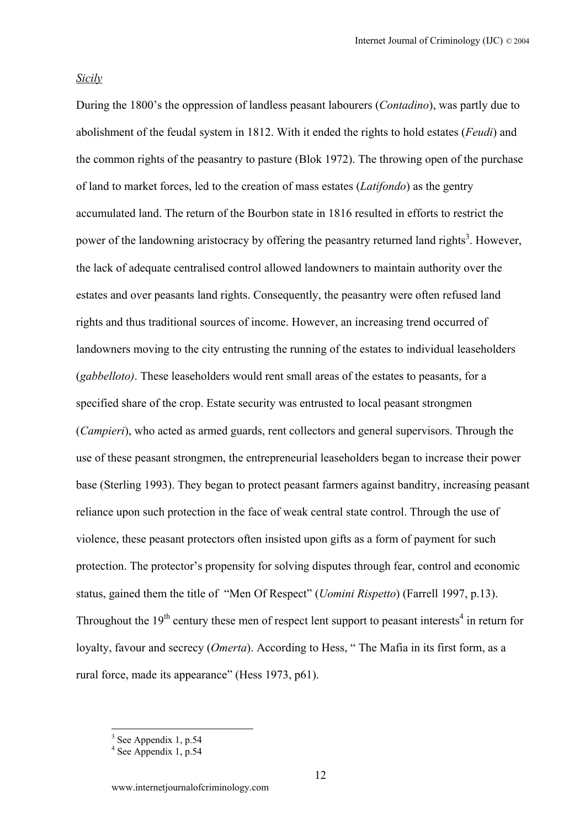### *Sicily*

During the 1800's the oppression of landless peasant labourers (*Contadino*), was partly due to abolishment of the feudal system in 1812. With it ended the rights to hold estates (*Feudi*) and the common rights of the peasantry to pasture (Blok 1972). The throwing open of the purchase of land to market forces, led to the creation of mass estates (*Latifondo*) as the gentry accumulated land. The return of the Bourbon state in 1816 resulted in efforts to restrict the power of the landowning aristocracy by offering the peasantry returned land rights<sup>3</sup>[.](#page-11-0) However, the lack of adequate centralised control allowed landowners to maintain authority over the estates and over peasants land rights. Consequently, the peasantry were often refused land rights and thus traditional sources of income. However, an increasing trend occurred of landowners moving to the city entrusting the running of the estates to individual leaseholders (*gabbelloto)*. These leaseholders would rent small areas of the estates to peasants, for a specified share of the crop. Estate security was entrusted to local peasant strongmen (*Campieri*), who acted as armed guards, rent collectors and general supervisors. Through the use of these peasant strongmen, the entrepreneurial leaseholders began to increase their power base (Sterling 1993). They began to protect peasant farmers against banditry, increasing peasant reliance upon such protection in the face of weak central state control. Through the use of violence, these peasant protectors often insisted upon gifts as a form of payment for such protection. The protector's propensity for solving disputes through fear, control and economic status, gained them the title of "Men Of Respect" (*Uomini Rispetto*) (Farrell 1997, p.13). Throughout the  $19<sup>th</sup>$  century these men of respect lent support to peasant interests<sup>4</sup> in return for loyalty, favour and secrecy (*Omerta*). According to Hess, "The Mafia in its first form, as a rural force, made its appearance" (Hess 1973, p61).

<span id="page-11-0"></span> $3^{3}$  See Appendix 1, p.54<br> $4^{4}$  See Appendix 1, p.54

<span id="page-11-1"></span>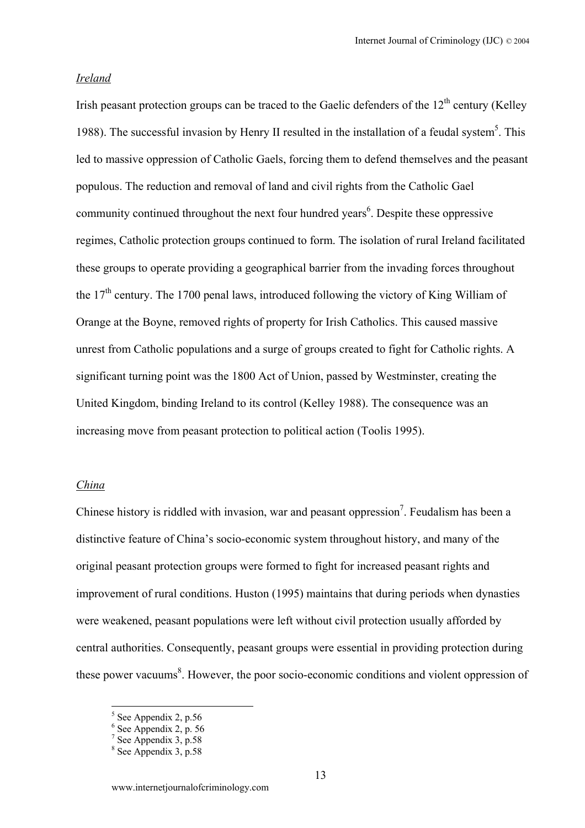#### *Ireland*

Irish peasant protection groups can be traced to the Gaelic defenders of the  $12<sup>th</sup>$  century (Kelley 1988). The successful invasion by Henry II resulted in the installation of a feudal system<sup>5</sup>. This led to massive oppression of Catholic Gaels, forcing them to defend themselves and the peasant populous. The reduction and removal of land and civil rights from the Catholic Gael community continued throughout the next four hundred years $6$ . Despite these oppressive regimes, Catholic protection groups continued to form. The isolation of rural Ireland facilitated these groups to operate providing a geographical barrier from the invading forces throughout the  $17<sup>th</sup>$  century. The 1700 penal laws, introduced following the victory of King William of Orange at the Boyne, removed rights of property for Irish Catholics. This caused massive unrest from Catholic populations and a surge of groups created to fight for Catholic rights. A significant turning point was the 1800 Act of Union, passed by Westminster, creating the United Kingdom, binding Ireland to its control (Kelley 1988). The consequence was an increasing move from peasant protection to political action (Toolis 1995).

#### *China*

Chinese history is riddled with invasion, war and peasant oppression<sup>[7](#page-12-2)</sup>. Feudalism has been a distinctive feature of China's socio-economic system throughout history, and many of the original peasant protection groups were formed to fight for increased peasant rights and improvement of rural conditions. Huston (1995) maintains that during periods when dynasties were weakened, peasant populations were left without civil protection usually afforded by central authorities. Consequently, peasant groups were essential in providing protection during these power vacuums<sup>[8](#page-12-3)</sup>. However, the poor socio-economic conditions and violent oppression of

<span id="page-12-2"></span><span id="page-12-1"></span>

<span id="page-12-0"></span><sup>&</sup>lt;sup>5</sup> See Appendix 2, p.56<br>
<sup>6</sup> See Appendix 2, p.56<br>
<sup>7</sup> See Appendix 3, p.58<br>
<sup>8</sup> See Appendix 3, p.58

<span id="page-12-3"></span>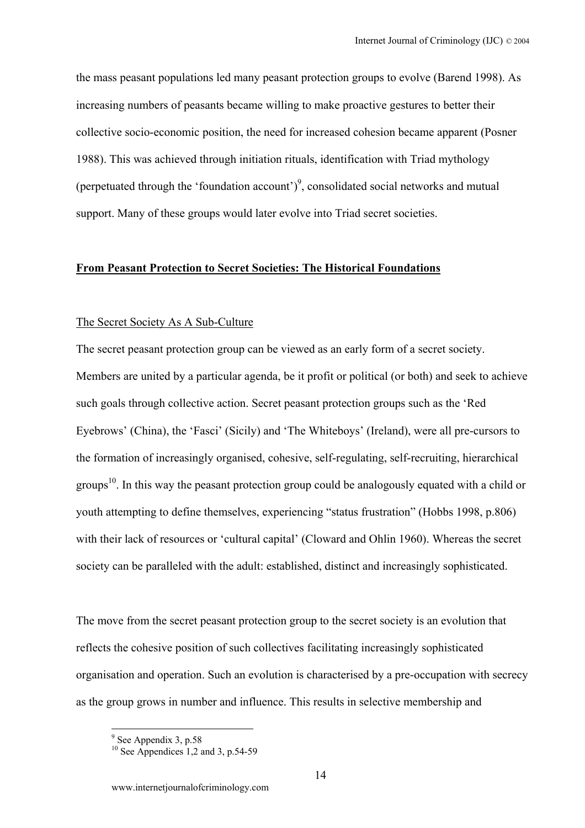the mass peasant populations led many peasant protection groups to evolve (Barend 1998). As increasing numbers of peasants became willing to make proactive gestures to better their collective socio-economic position, the need for increased cohesion became apparent (Posner 1988). This was achieved through initiation rituals, identification with Triad mythology (perpetuated through the 'foundation account')<sup>9</sup>, consolidated social networks and mutual support. Many of these groups would later evolve into Triad secret societies.

## **From Peasant Protection to Secret Societies: The Historical Foundations**

#### The Secret Society As A Sub-Culture

The secret peasant protection group can be viewed as an early form of a secret society. Members are united by a particular agenda, be it profit or political (or both) and seek to achieve such goals through collective action. Secret peasant protection groups such as the 'Red Eyebrows' (China), the 'Fasci' (Sicily) and 'The Whiteboys' (Ireland), were all pre-cursors to the formation of increasingly organised, cohesive, self-regulating, self-recruiting, hierarchical groups<sup>10</sup>. In this way the peasant protection group could be analogously equated with a child or youth attempting to define themselves, experiencing "status frustration" (Hobbs 1998, p.806) with their lack of resources or 'cultural capital' (Cloward and Ohlin 1960). Whereas the secret society can be paralleled with the adult: established, distinct and increasingly sophisticated.

The move from the secret peasant protection group to the secret society is an evolution that reflects the cohesive position of such collectives facilitating increasingly sophisticated organisation and operation. Such an evolution is characterised by a pre-occupation with secrecy as the group grows in number and influence. This results in selective membership and

<span id="page-13-1"></span><span id="page-13-0"></span><sup>&</sup>lt;sup>9</sup> See Appendix 3, p.58<br><sup>10</sup> See Appendices 1,2 and 3, p.54-59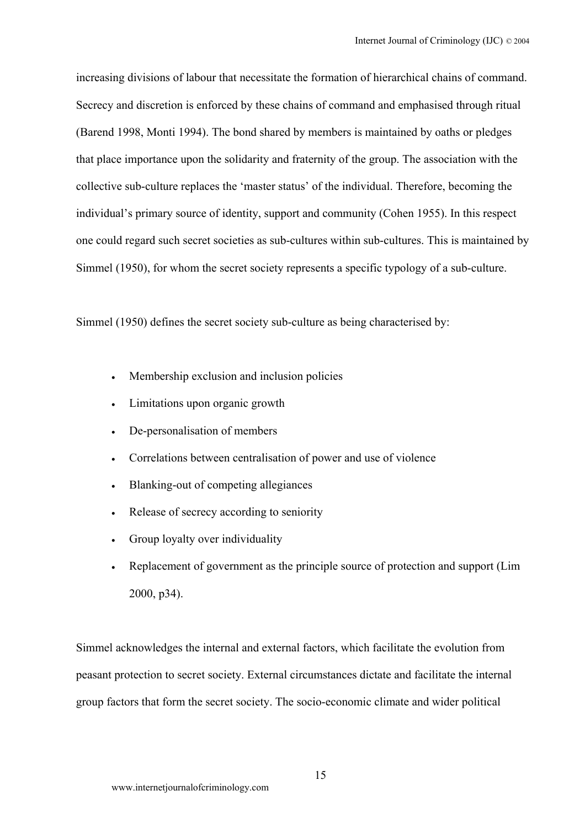increasing divisions of labour that necessitate the formation of hierarchical chains of command. Secrecy and discretion is enforced by these chains of command and emphasised through ritual (Barend 1998, Monti 1994). The bond shared by members is maintained by oaths or pledges that place importance upon the solidarity and fraternity of the group. The association with the collective sub-culture replaces the 'master status' of the individual. Therefore, becoming the individual's primary source of identity, support and community (Cohen 1955). In this respect one could regard such secret societies as sub-cultures within sub-cultures. This is maintained by Simmel (1950), for whom the secret society represents a specific typology of a sub-culture.

Simmel (1950) defines the secret society sub-culture as being characterised by:

- Membership exclusion and inclusion policies
- Limitations upon organic growth
- De-personalisation of members
- Correlations between centralisation of power and use of violence
- Blanking-out of competing allegiances
- Release of secrecy according to seniority
- Group loyalty over individuality
- Replacement of government as the principle source of protection and support (Lim 2000, p34).

Simmel acknowledges the internal and external factors, which facilitate the evolution from peasant protection to secret society. External circumstances dictate and facilitate the internal group factors that form the secret society. The socio-economic climate and wider political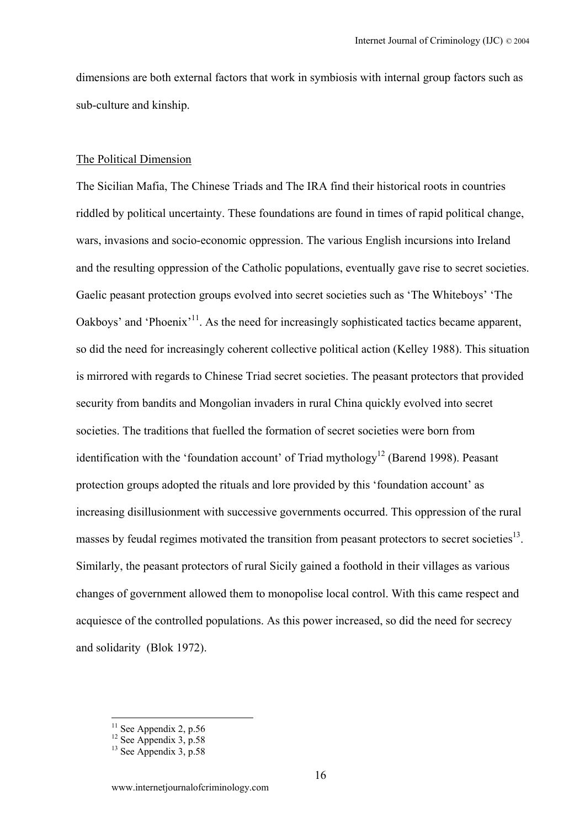dimensions are both external factors that work in symbiosis with internal group factors such as sub-culture and kinship.

#### The Political Dimension

The Sicilian Mafia, The Chinese Triads and The IRA find their historical roots in countries riddled by political uncertainty. These foundations are found in times of rapid political change, wars, invasions and socio-economic oppression. The various English incursions into Ireland and the resulting oppression of the Catholic populations, eventually gave rise to secret societies. Gaelic peasant protection groups evolved into secret societies such as 'The Whiteboys' 'The Oakboys' and 'Phoenix'<sup>11</sup>. As the need for increasingly sophisticated tactics became apparent, so did the need for increasingly coherent collective political action (Kelley 1988). This situation is mirrored with regards to Chinese Triad secret societies. The peasant protectors that provided security from bandits and Mongolian invaders in rural China quickly evolved into secret societies. The traditions that fuelled the formation of secret societies were born from identification with the 'foundation account' of Triad mythology<sup>12</sup> (Barend 1998). Peasant protection groups adopted the rituals and lore provided by this 'foundation account' as increasing disillusionment with successive governments occurred. This oppression of the rural masses by feudal regimes motivated the transition from peasant protectors to secret societies<sup>13</sup>. Similarly, the peasant protectors of rural Sicily gained a foothold in their villages as various changes of government allowed them to monopolise local control. With this came respect and acquiesce of the controlled populations. As this power increased, so did the need for secrecy and solidarity (Blok 1972).

 $\overline{a}$ 

<span id="page-15-1"></span><span id="page-15-0"></span><sup>&</sup>lt;sup>11</sup> See Appendix 2, p.56<br><sup>12</sup> See Appendix 3, p.58<br><sup>13</sup> See Appendix 3, p.58

<span id="page-15-2"></span>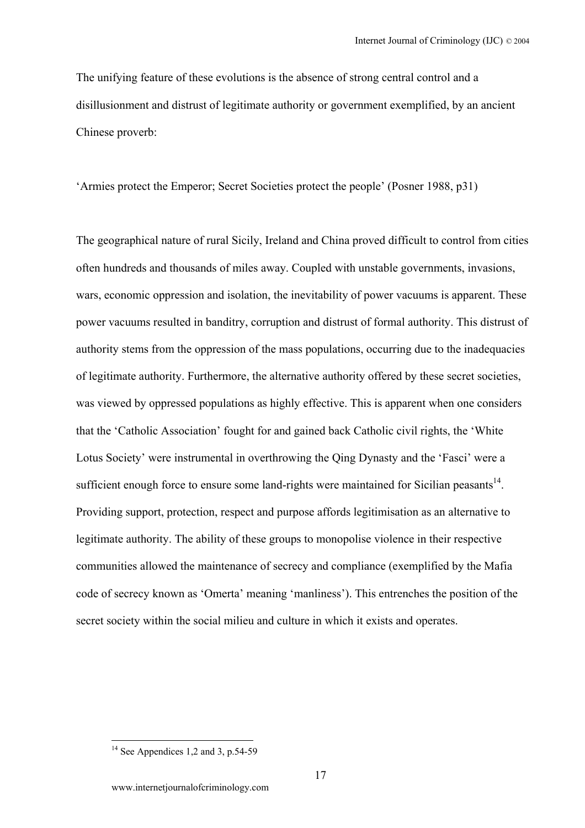The unifying feature of these evolutions is the absence of strong central control and a disillusionment and distrust of legitimate authority or government exemplified, by an ancient Chinese proverb:

'Armies protect the Emperor; Secret Societies protect the people' (Posner 1988, p31)

The geographical nature of rural Sicily, Ireland and China proved difficult to control from cities often hundreds and thousands of miles away. Coupled with unstable governments, invasions, wars, economic oppression and isolation, the inevitability of power vacuums is apparent. These power vacuums resulted in banditry, corruption and distrust of formal authority. This distrust of authority stems from the oppression of the mass populations, occurring due to the inadequacies of legitimate authority. Furthermore, the alternative authority offered by these secret societies, was viewed by oppressed populations as highly effective. This is apparent when one considers that the 'Catholic Association' fought for and gained back Catholic civil rights, the 'White Lotus Society' were instrumental in overthrowing the Qing Dynasty and the 'Fasci' were a sufficient enough force to ensure some land-rights were maintained for Sicilian peasants $14$ . Providing support, protection, respect and purpose affords legitimisation as an alternative to legitimate authority. The ability of these groups to monopolise violence in their respective communities allowed the maintenance of secrecy and compliance (exemplified by the Mafia code of secrecy known as 'Omerta' meaning 'manliness'). This entrenches the position of the secret society within the social milieu and culture in which it exists and operates.

<span id="page-16-0"></span> $14$  See Appendices 1,2 and 3, p.54-59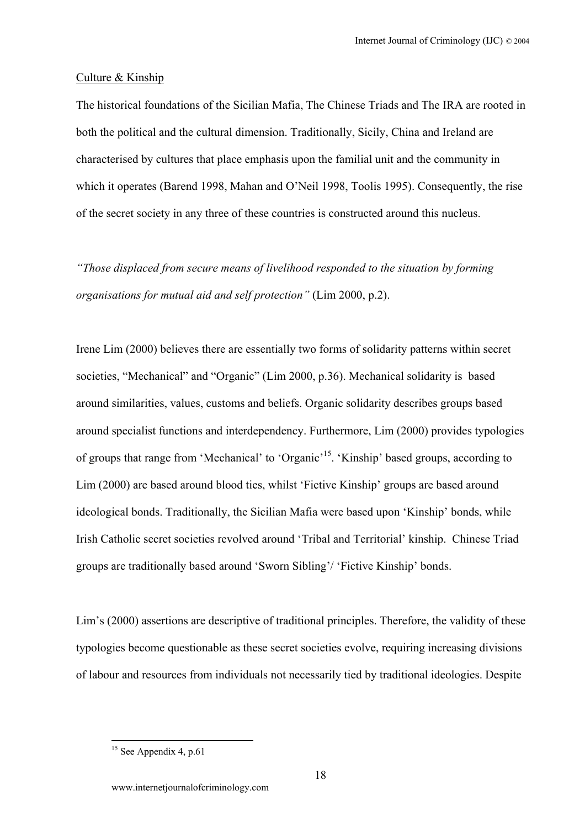#### Culture & Kinship

The historical foundations of the Sicilian Mafia, The Chinese Triads and The IRA are rooted in both the political and the cultural dimension. Traditionally, Sicily, China and Ireland are characterised by cultures that place emphasis upon the familial unit and the community in which it operates (Barend 1998, Mahan and O'Neil 1998, Toolis 1995). Consequently, the rise of the secret society in any three of these countries is constructed around this nucleus.

*"Those displaced from secure means of livelihood responded to the situation by forming organisations for mutual aid and self protection"* (Lim 2000, p.2).

Irene Lim (2000) believes there are essentially two forms of solidarity patterns within secret societies, "Mechanical" and "Organic" (Lim 2000, p.36). Mechanical solidarity is based around similarities, values, customs and beliefs. Organic solidarity describes groups based around specialist functions and interdependency. Furthermore, Lim (2000) provides typologies of groups that range from 'Mechanical' to 'Organic['15.](#page-17-0) 'Kinship' based groups, according to Lim (2000) are based around blood ties, whilst 'Fictive Kinship' groups are based around ideological bonds. Traditionally, the Sicilian Mafia were based upon 'Kinship' bonds, while Irish Catholic secret societies revolved around 'Tribal and Territorial' kinship. Chinese Triad groups are traditionally based around 'Sworn Sibling'/ 'Fictive Kinship' bonds.

Lim's (2000) assertions are descriptive of traditional principles. Therefore, the validity of these typologies become questionable as these secret societies evolve, requiring increasing divisions of labour and resources from individuals not necessarily tied by traditional ideologies. Despite

<span id="page-17-0"></span> $15$  See Appendix 4, p.61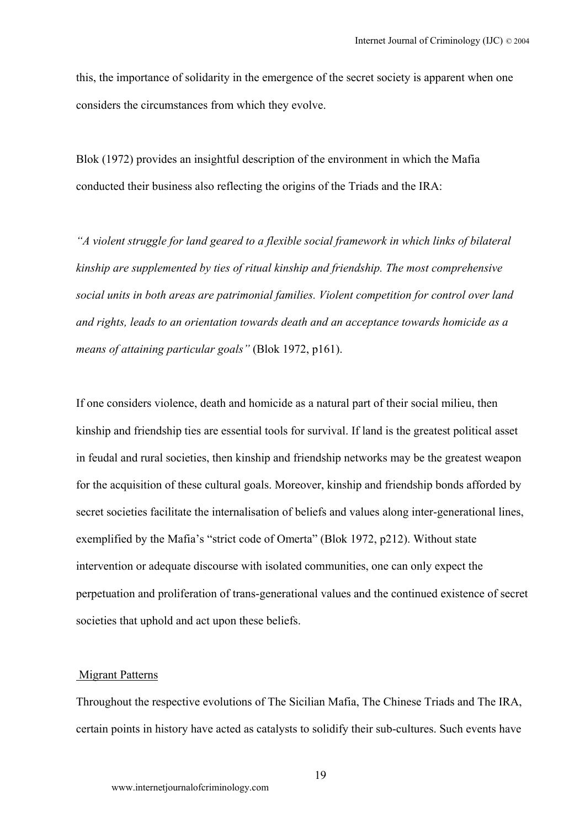this, the importance of solidarity in the emergence of the secret society is apparent when one considers the circumstances from which they evolve.

Blok (1972) provides an insightful description of the environment in which the Mafia conducted their business also reflecting the origins of the Triads and the IRA:

*"A violent struggle for land geared to a flexible social framework in which links of bilateral kinship are supplemented by ties of ritual kinship and friendship. The most comprehensive social units in both areas are patrimonial families. Violent competition for control over land and rights, leads to an orientation towards death and an acceptance towards homicide as a means of attaining particular goals"* (Blok 1972, p161).

If one considers violence, death and homicide as a natural part of their social milieu, then kinship and friendship ties are essential tools for survival. If land is the greatest political asset in feudal and rural societies, then kinship and friendship networks may be the greatest weapon for the acquisition of these cultural goals. Moreover, kinship and friendship bonds afforded by secret societies facilitate the internalisation of beliefs and values along inter-generational lines, exemplified by the Mafia's "strict code of Omerta" (Blok 1972, p212). Without state intervention or adequate discourse with isolated communities, one can only expect the perpetuation and proliferation of trans-generational values and the continued existence of secret societies that uphold and act upon these beliefs.

#### Migrant Patterns

Throughout the respective evolutions of The Sicilian Mafia, The Chinese Triads and The IRA, certain points in history have acted as catalysts to solidify their sub-cultures. Such events have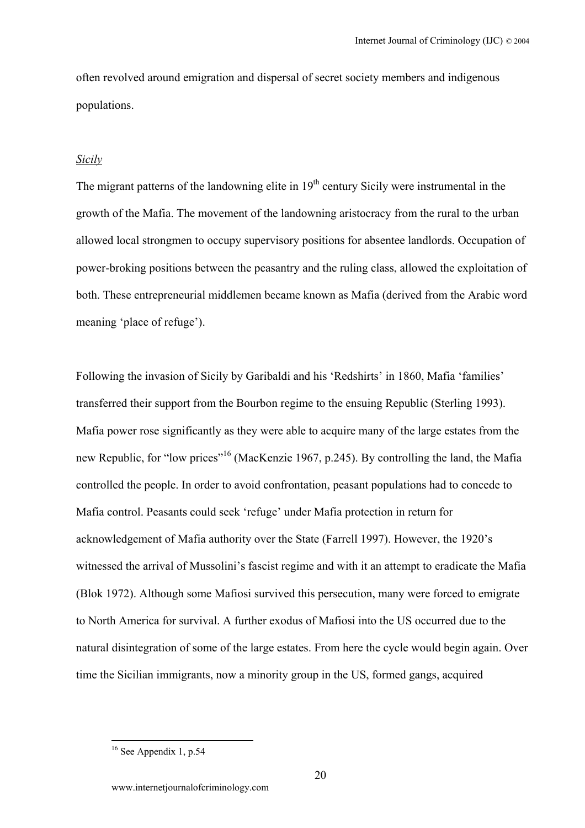often revolved around emigration and dispersal of secret society members and indigenous populations.

## *Sicily*

The migrant patterns of the landowning elite in  $19<sup>th</sup>$  century Sicily were instrumental in the growth of the Mafia. The movement of the landowning aristocracy from the rural to the urban allowed local strongmen to occupy supervisory positions for absentee landlords. Occupation of power-broking positions between the peasantry and the ruling class, allowed the exploitation of both. These entrepreneurial middlemen became known as Mafia (derived from the Arabic word meaning 'place of refuge').

Following the invasion of Sicily by Garibaldi and his 'Redshirts' in 1860, Mafia 'families' transferred their support from the Bourbon regime to the ensuing Republic (Sterling 1993). Mafia power rose significantly as they were able to acquire many of the large estates from the new Republic, for "low prices"<sup>16</sup> (MacKenzie 1967, p.245). By controlling the land, the Mafia controlled the people. In order to avoid confrontation, peasant populations had to concede to Mafia control. Peasants could seek 'refuge' under Mafia protection in return for acknowledgement of Mafia authority over the State (Farrell 1997). However, the 1920's witnessed the arrival of Mussolini's fascist regime and with it an attempt to eradicate the Mafia (Blok 1972). Although some Mafiosi survived this persecution, many were forced to emigrate to North America for survival. A further exodus of Mafiosi into the US occurred due to the natural disintegration of some of the large estates. From here the cycle would begin again. Over time the Sicilian immigrants, now a minority group in the US, formed gangs, acquired

<span id="page-19-0"></span> $16$  See Appendix 1, p.54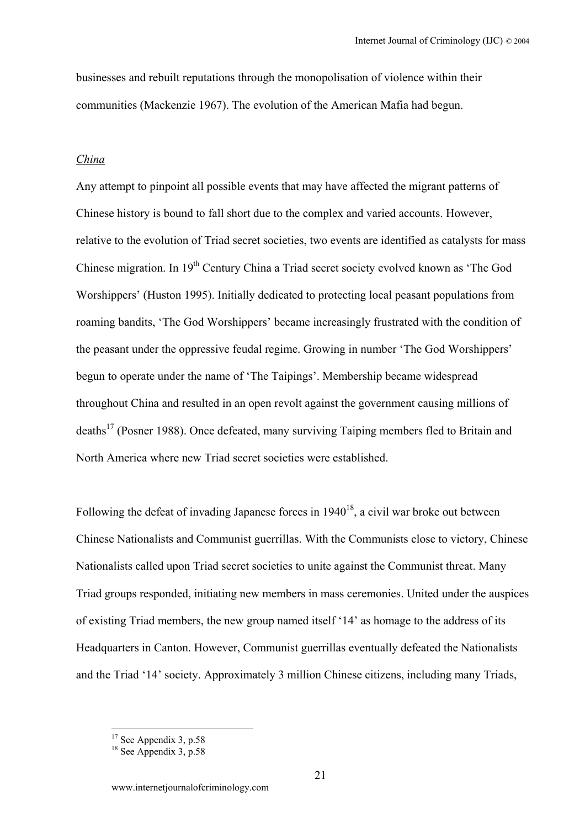businesses and rebuilt reputations through the monopolisation of violence within their communities (Mackenzie 1967). The evolution of the American Mafia had begun.

#### *China*

Any attempt to pinpoint all possible events that may have affected the migrant patterns of Chinese history is bound to fall short due to the complex and varied accounts. However, relative to the evolution of Triad secret societies, two events are identified as catalysts for mass Chinese migration. In 19<sup>th</sup> Century China a Triad secret society evolved known as 'The God Worshippers' (Huston 1995). Initially dedicated to protecting local peasant populations from roaming bandits, 'The God Worshippers' became increasingly frustrated with the condition of the peasant under the oppressive feudal regime. Growing in number 'The God Worshippers' begun to operate under the name of 'The Taipings'. Membership became widespread throughout China and resulted in an open revolt against the government causing millions of deaths<sup>17</sup> (Posner 1988). Once defeated, many surviving Taiping members fled to Britain and North America where new Triad secret societies were established.

Following the defeat of invading Japanese forces in  $1940^{18}$ , a civil war broke out between Chinese Nationalists and Communist guerrillas. With the Communists close to victory, Chinese Nationalists called upon Triad secret societies to unite against the Communist threat. Many Triad groups responded, initiating new members in mass ceremonies. United under the auspices of existing Triad members, the new group named itself '14' as homage to the address of its Headquarters in Canton. However, Communist guerrillas eventually defeated the Nationalists and the Triad '14' society. Approximately 3 million Chinese citizens, including many Triads,

<span id="page-20-0"></span><sup>&</sup>lt;sup>17</sup> See Appendix 3, p.58<br><sup>18</sup> See Appendix 3, p.58

<span id="page-20-1"></span>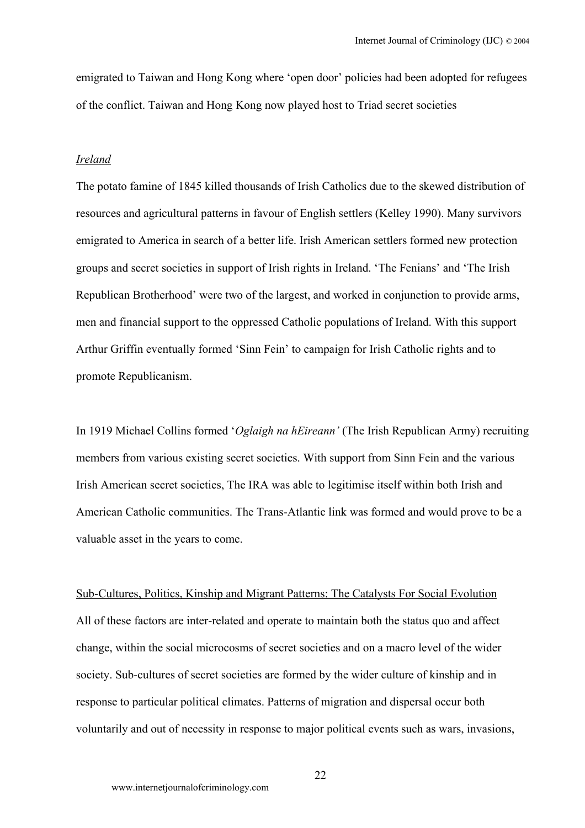emigrated to Taiwan and Hong Kong where 'open door' policies had been adopted for refugees of the conflict. Taiwan and Hong Kong now played host to Triad secret societies

#### *Ireland*

The potato famine of 1845 killed thousands of Irish Catholics due to the skewed distribution of resources and agricultural patterns in favour of English settlers (Kelley 1990). Many survivors emigrated to America in search of a better life. Irish American settlers formed new protection groups and secret societies in support of Irish rights in Ireland. 'The Fenians' and 'The Irish Republican Brotherhood' were two of the largest, and worked in conjunction to provide arms, men and financial support to the oppressed Catholic populations of Ireland. With this support Arthur Griffin eventually formed 'Sinn Fein' to campaign for Irish Catholic rights and to promote Republicanism.

In 1919 Michael Collins formed '*Oglaigh na hEireann'* (The Irish Republican Army) recruiting members from various existing secret societies. With support from Sinn Fein and the various Irish American secret societies, The IRA was able to legitimise itself within both Irish and American Catholic communities. The Trans-Atlantic link was formed and would prove to be a valuable asset in the years to come.

Sub-Cultures, Politics, Kinship and Migrant Patterns: The Catalysts For Social Evolution All of these factors are inter-related and operate to maintain both the status quo and affect change, within the social microcosms of secret societies and on a macro level of the wider society. Sub-cultures of secret societies are formed by the wider culture of kinship and in response to particular political climates. Patterns of migration and dispersal occur both voluntarily and out of necessity in response to major political events such as wars, invasions,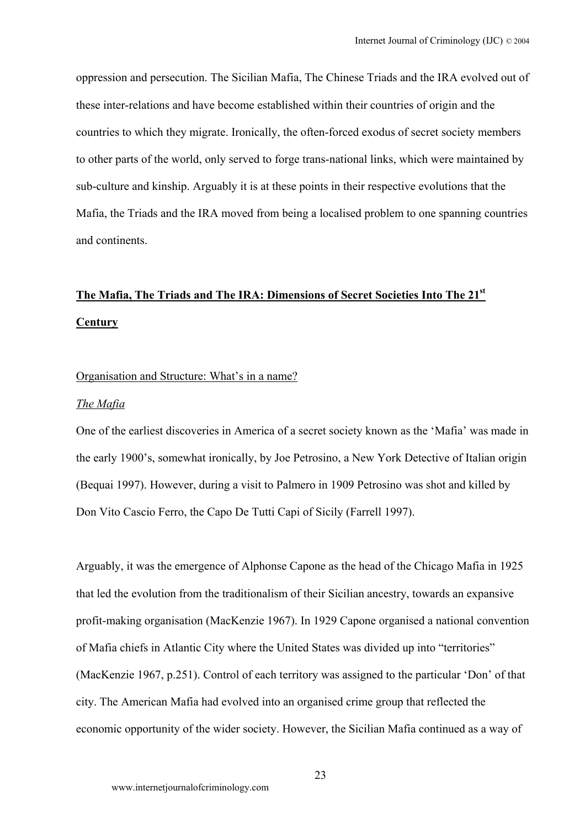oppression and persecution. The Sicilian Mafia, The Chinese Triads and the IRA evolved out of these inter-relations and have become established within their countries of origin and the countries to which they migrate. Ironically, the often-forced exodus of secret society members to other parts of the world, only served to forge trans-national links, which were maintained by sub-culture and kinship. Arguably it is at these points in their respective evolutions that the Mafia, the Triads and the IRA moved from being a localised problem to one spanning countries and continents.

# **The Mafia, The Triads and The IRA: Dimensions of Secret Societies Into The 21st Century**

#### Organisation and Structure: What's in a name?

## *The Mafia*

One of the earliest discoveries in America of a secret society known as the 'Mafia' was made in the early 1900's, somewhat ironically, by Joe Petrosino, a New York Detective of Italian origin (Bequai 1997). However, during a visit to Palmero in 1909 Petrosino was shot and killed by Don Vito Cascio Ferro, the Capo De Tutti Capi of Sicily (Farrell 1997).

Arguably, it was the emergence of Alphonse Capone as the head of the Chicago Mafia in 1925 that led the evolution from the traditionalism of their Sicilian ancestry, towards an expansive profit-making organisation (MacKenzie 1967). In 1929 Capone organised a national convention of Mafia chiefs in Atlantic City where the United States was divided up into "territories" (MacKenzie 1967, p.251). Control of each territory was assigned to the particular 'Don' of that city. The American Mafia had evolved into an organised crime group that reflected the economic opportunity of the wider society. However, the Sicilian Mafia continued as a way of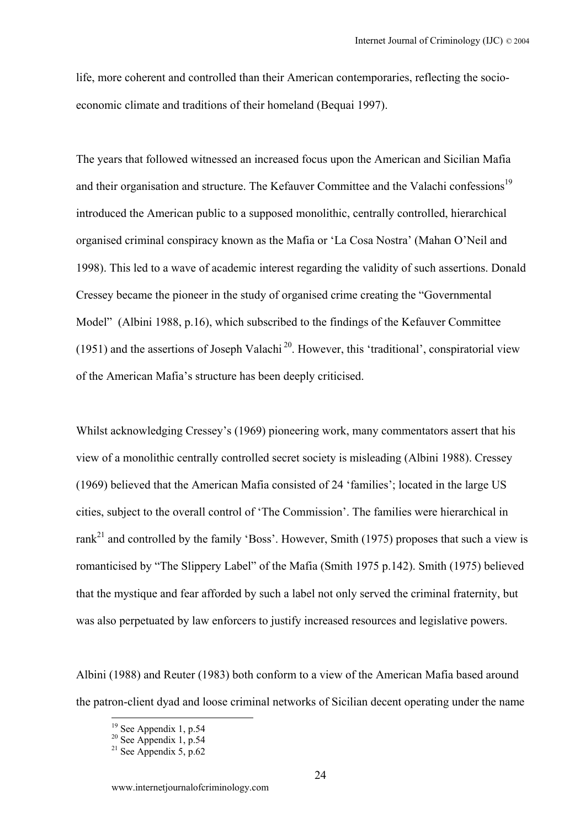life, more coherent and controlled than their American contemporaries, reflecting the socioeconomic climate and traditions of their homeland (Bequai 1997).

The years that followed witnessed an increased focus upon the American and Sicilian Mafia and their organisation and structure. The Kefauver Committee and the Valachi confessions<sup>19</sup> introduced the American public to a supposed monolithic, centrally controlled, hierarchical organised criminal conspiracy known as the Mafia or 'La Cosa Nostra' (Mahan O'Neil and 1998). This led to a wave of academic interest regarding the validity of such assertions. Donald Cressey became the pioneer in the study of organised crime creating the "Governmental Model" (Albini 1988, p.16), which subscribed to the findings of the Kefauver Committee (1951) and the assertions of Joseph Valachi<sup>20</sup>. However, this 'traditional', conspiratorial view of the American Mafia's structure has been deeply criticised.

Whilst acknowledging Cressey's (1969) pioneering work, many commentators assert that his view of a monolithic centrally controlled secret society is misleading (Albini 1988). Cressey (1969) believed that the American Mafia consisted of 24 'families'; located in the large US cities, subject to the overall control of 'The Commission'. The families were hierarchical in rank<sup>21</sup> and controlled by the family 'Boss'. However, Smith (1975) proposes that such a view is romanticised by "The Slippery Label" of the Mafia (Smith 1975 p.142). Smith (1975) believed that the mystique and fear afforded by such a label not only served the criminal fraternity, but was also perpetuated by law enforcers to justify increased resources and legislative powers.

Albini (1988) and Reuter (1983) both conform to a view of the American Mafia based around the patron-client dyad and loose criminal networks of Sicilian decent operating under the name

<span id="page-23-0"></span><sup>&</sup>lt;sup>19</sup> See Appendix 1, p.54<br><sup>20</sup> See Appendix 1, p.54<br><sup>21</sup> See Appendix 5, p.62

<span id="page-23-1"></span>

<span id="page-23-2"></span>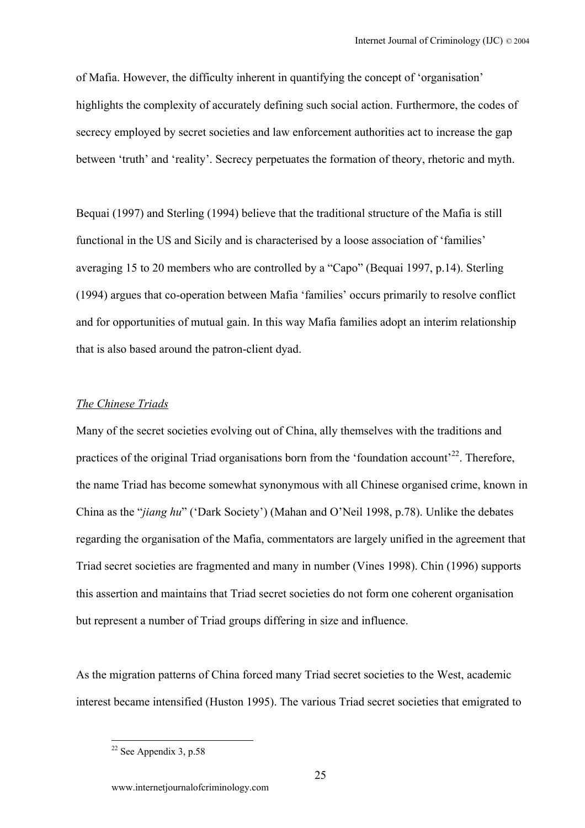of Mafia. However, the difficulty inherent in quantifying the concept of 'organisation' highlights the complexity of accurately defining such social action. Furthermore, the codes of secrecy employed by secret societies and law enforcement authorities act to increase the gap between 'truth' and 'reality'. Secrecy perpetuates the formation of theory, rhetoric and myth.

Bequai (1997) and Sterling (1994) believe that the traditional structure of the Mafia is still functional in the US and Sicily and is characterised by a loose association of 'families' averaging 15 to 20 members who are controlled by a "Capo" (Bequai 1997, p.14). Sterling (1994) argues that co-operation between Mafia 'families' occurs primarily to resolve conflict and for opportunities of mutual gain. In this way Mafia families adopt an interim relationship that is also based around the patron-client dyad.

## *The Chinese Triads*

Many of the secret societies evolving out of China, ally themselves with the traditions and practices of the original Triad organisations born from the 'foundation account'<sup>22</sup>. Therefore, the name Triad has become somewhat synonymous with all Chinese organised crime, known in China as the "*jiang hu*" ('Dark Society') (Mahan and O'Neil 1998, p.78). Unlike the debates regarding the organisation of the Mafia, commentators are largely unified in the agreement that Triad secret societies are fragmented and many in number (Vines 1998). Chin (1996) supports this assertion and maintains that Triad secret societies do not form one coherent organisation but represent a number of Triad groups differing in size and influence.

As the migration patterns of China forced many Triad secret societies to the West, academic interest became intensified (Huston 1995). The various Triad secret societies that emigrated to

<span id="page-24-0"></span> $22$  See Appendix 3, p.58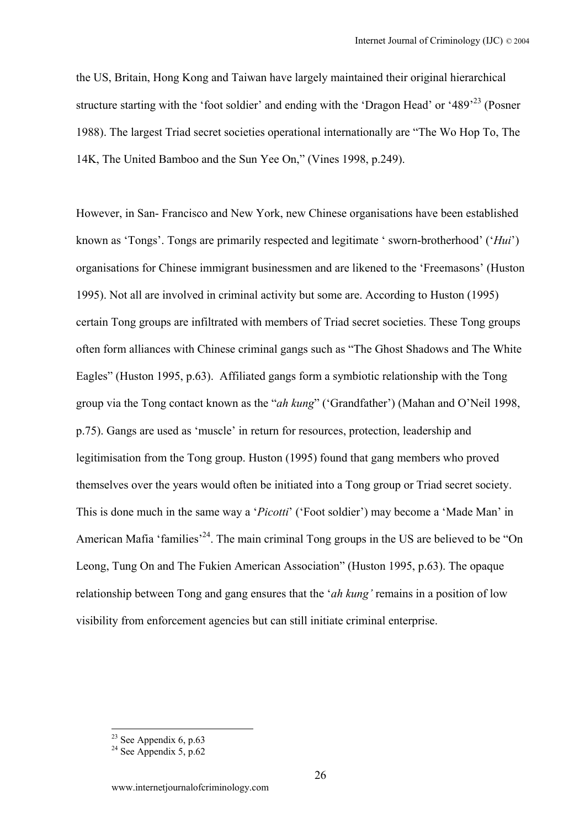the US, Britain, Hong Kong and Taiwan have largely maintained their original hierarchical structure starting with the 'foot soldier' and ending with the 'Dragon Head' or '489'[23 \(](#page-25-0)Posner 1988). The largest Triad secret societies operational internationally are "The Wo Hop To, The 14K, The United Bamboo and the Sun Yee On," (Vines 1998, p.249).

However, in San- Francisco and New York, new Chinese organisations have been established known as 'Tongs'. Tongs are primarily respected and legitimate ' sworn-brotherhood' ('*Hui*') organisations for Chinese immigrant businessmen and are likened to the 'Freemasons' (Huston 1995). Not all are involved in criminal activity but some are. According to Huston (1995) certain Tong groups are infiltrated with members of Triad secret societies. These Tong groups often form alliances with Chinese criminal gangs such as "The Ghost Shadows and The White Eagles" (Huston 1995, p.63). Affiliated gangs form a symbiotic relationship with the Tong group via the Tong contact known as the "*ah kung*" ('Grandfather') (Mahan and O'Neil 1998, p.75). Gangs are used as 'muscle' in return for resources, protection, leadership and legitimisation from the Tong group. Huston (1995) found that gang members who proved themselves over the years would often be initiated into a Tong group or Triad secret society. This is done much in the same way a '*Picotti*' ('Foot soldier') may become a 'Made Man' in American Mafia 'families<sup>'24</sup>. The main criminal Tong groups in the US are believed to be "On Leong, Tung On and The Fukien American Association" (Huston 1995, p.63). The opaque relationship between Tong and gang ensures that the '*ah kung'* remains in a position of low visibility from enforcement agencies but can still initiate criminal enterprise.

<span id="page-25-0"></span><sup>&</sup>lt;sup>23</sup> See Appendix 6, p.63<br><sup>24</sup> See Appendix 5, p.62

<span id="page-25-1"></span>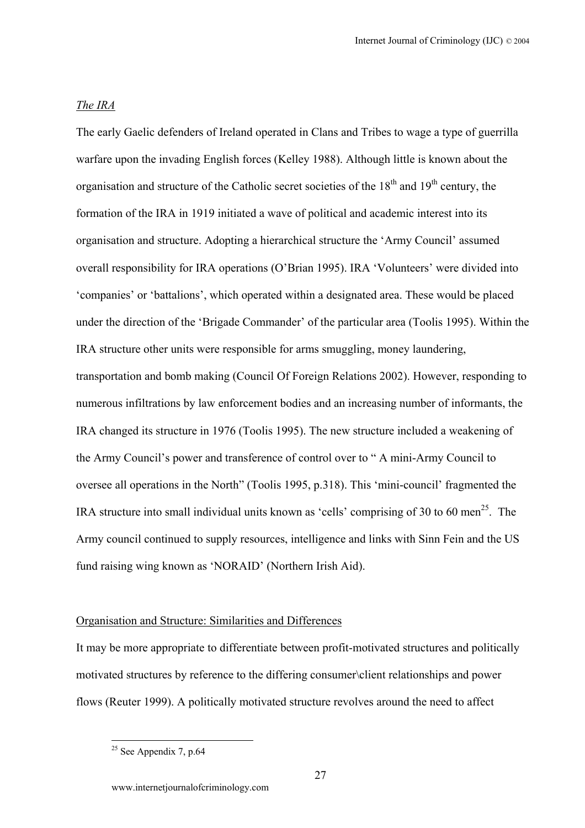## *The IRA*

The early Gaelic defenders of Ireland operated in Clans and Tribes to wage a type of guerrilla warfare upon the invading English forces (Kelley 1988). Although little is known about the organisation and structure of the Catholic secret societies of the  $18<sup>th</sup>$  and  $19<sup>th</sup>$  century, the formation of the IRA in 1919 initiated a wave of political and academic interest into its organisation and structure. Adopting a hierarchical structure the 'Army Council' assumed overall responsibility for IRA operations (O'Brian 1995). IRA 'Volunteers' were divided into 'companies' or 'battalions', which operated within a designated area. These would be placed under the direction of the 'Brigade Commander' of the particular area (Toolis 1995). Within the IRA structure other units were responsible for arms smuggling, money laundering, transportation and bomb making (Council Of Foreign Relations 2002). However, responding to numerous infiltrations by law enforcement bodies and an increasing number of informants, the IRA changed its structure in 1976 (Toolis 1995). The new structure included a weakening of the Army Council's power and transference of control over to " A mini-Army Council to oversee all operations in the North" (Toolis 1995, p.318). This 'mini-council' fragmented the IRA structure into small individual units known as 'cells' comprising of 30 to 60 men<sup>25</sup>. The Army council continued to supply resources, intelligence and links with Sinn Fein and the US fund raising wing known as 'NORAID' (Northern Irish Aid).

#### Organisation and Structure: Similarities and Differences

It may be more appropriate to differentiate between profit-motivated structures and politically motivated structures by reference to the differing consumer\client relationships and power flows (Reuter 1999). A politically motivated structure revolves around the need to affect

<span id="page-26-0"></span> $25$  See Appendix 7, p.64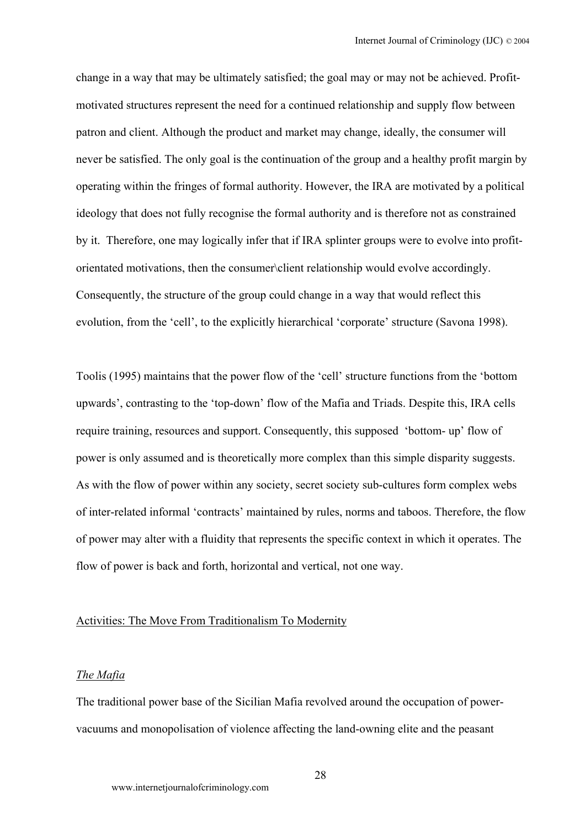change in a way that may be ultimately satisfied; the goal may or may not be achieved. Profitmotivated structures represent the need for a continued relationship and supply flow between patron and client. Although the product and market may change, ideally, the consumer will never be satisfied. The only goal is the continuation of the group and a healthy profit margin by operating within the fringes of formal authority. However, the IRA are motivated by a political ideology that does not fully recognise the formal authority and is therefore not as constrained by it. Therefore, one may logically infer that if IRA splinter groups were to evolve into profitorientated motivations, then the consumer\client relationship would evolve accordingly. Consequently, the structure of the group could change in a way that would reflect this evolution, from the 'cell', to the explicitly hierarchical 'corporate' structure (Savona 1998).

Toolis (1995) maintains that the power flow of the 'cell' structure functions from the 'bottom upwards', contrasting to the 'top-down' flow of the Mafia and Triads. Despite this, IRA cells require training, resources and support. Consequently, this supposed 'bottom- up' flow of power is only assumed and is theoretically more complex than this simple disparity suggests. As with the flow of power within any society, secret society sub-cultures form complex webs of inter-related informal 'contracts' maintained by rules, norms and taboos. Therefore, the flow of power may alter with a fluidity that represents the specific context in which it operates. The flow of power is back and forth, horizontal and vertical, not one way.

#### Activities: The Move From Traditionalism To Modernity

#### *The Mafia*

The traditional power base of the Sicilian Mafia revolved around the occupation of powervacuums and monopolisation of violence affecting the land-owning elite and the peasant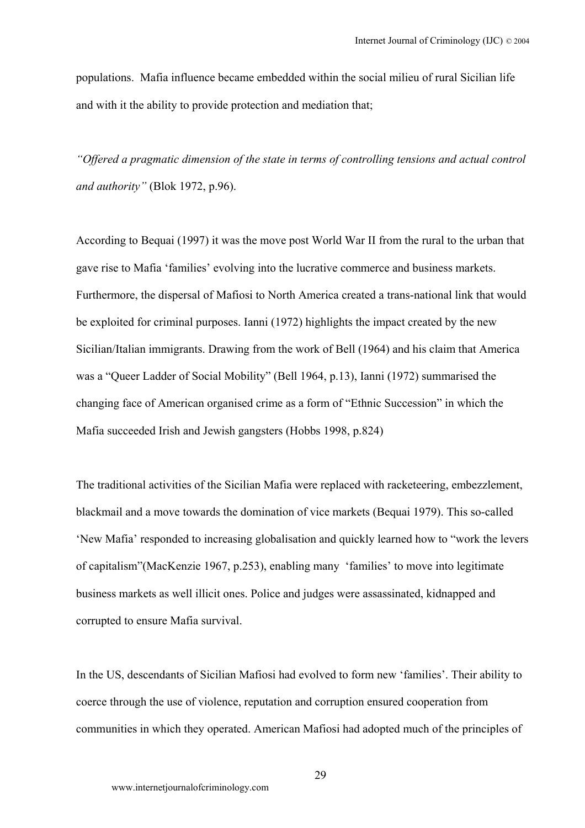populations. Mafia influence became embedded within the social milieu of rural Sicilian life and with it the ability to provide protection and mediation that;

*"Offered a pragmatic dimension of the state in terms of controlling tensions and actual control and authority"* (Blok 1972, p.96).

According to Bequai (1997) it was the move post World War II from the rural to the urban that gave rise to Mafia 'families' evolving into the lucrative commerce and business markets. Furthermore, the dispersal of Mafiosi to North America created a trans-national link that would be exploited for criminal purposes. Ianni (1972) highlights the impact created by the new Sicilian/Italian immigrants. Drawing from the work of Bell (1964) and his claim that America was a "Queer Ladder of Social Mobility" (Bell 1964, p.13), Ianni (1972) summarised the changing face of American organised crime as a form of "Ethnic Succession" in which the Mafia succeeded Irish and Jewish gangsters (Hobbs 1998, p.824)

The traditional activities of the Sicilian Mafia were replaced with racketeering, embezzlement, blackmail and a move towards the domination of vice markets (Bequai 1979). This so-called 'New Mafia' responded to increasing globalisation and quickly learned how to "work the levers of capitalism"(MacKenzie 1967, p.253), enabling many 'families' to move into legitimate business markets as well illicit ones. Police and judges were assassinated, kidnapped and corrupted to ensure Mafia survival.

In the US, descendants of Sicilian Mafiosi had evolved to form new 'families'. Their ability to coerce through the use of violence, reputation and corruption ensured cooperation from communities in which they operated. American Mafiosi had adopted much of the principles of

29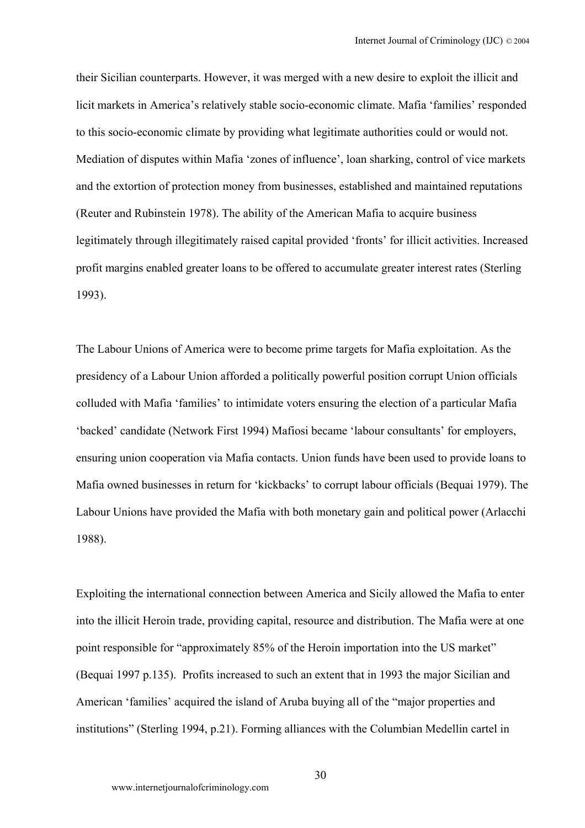their Sicilian counterparts. However, it was merged with a new desire to exploit the illicit and licit markets in America's relatively stable socio-economic climate. Mafia 'families' responded to this socio-economic climate by providing what legitimate authorities could or would not. Mediation of disputes within Mafia 'zones of influence', loan sharking, control of vice markets and the extortion of protection money from businesses, established and maintained reputations (Reuter and Rubinstein 1978). The ability of the American Mafia to acquire business legitimately through illegitimately raised capital provided 'fronts' for illicit activities. Increased profit margins enabled greater loans to be offered to accumulate greater interest rates (Sterling 1993).

The Labour Unions of America were to become prime targets for Mafia exploitation. As the presidency of a Labour Union afforded a politically powerful position corrupt Union officials colluded with Mafia 'families' to intimidate voters ensuring the election of a particular Mafia 'backed' candidate (Network First 1994) Mafiosi became 'labour consultants' for employers, ensuring union cooperation via Mafia contacts. Union funds have been used to provide loans to Mafia owned businesses in return for 'kickbacks' to corrupt labour officials (Bequai 1979). The Labour Unions have provided the Mafia with both monetary gain and political power (Arlacchi 1988).

Exploiting the international connection between America and Sicily allowed the Mafia to enter into the illicit Heroin trade, providing capital, resource and distribution. The Mafia were at one point responsible for "approximately 85% of the Heroin importation into the US market" (Bequai 1997 p.135). Profits increased to such an extent that in 1993 the major Sicilian and American 'families' acquired the island of Aruba buying all of the "major properties and institutions" (Sterling 1994, p.21). Forming alliances with the Columbian Medellin cartel in

30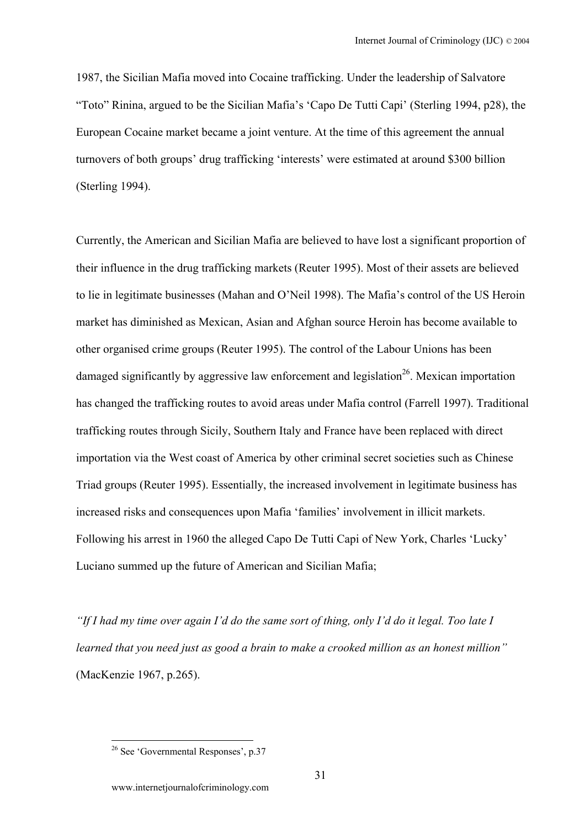1987, the Sicilian Mafia moved into Cocaine trafficking. Under the leadership of Salvatore "Toto" Rinina, argued to be the Sicilian Mafia's 'Capo De Tutti Capi' (Sterling 1994, p28), the European Cocaine market became a joint venture. At the time of this agreement the annual turnovers of both groups' drug trafficking 'interests' were estimated at around \$300 billion (Sterling 1994).

Currently, the American and Sicilian Mafia are believed to have lost a significant proportion of their influence in the drug trafficking markets (Reuter 1995). Most of their assets are believed to lie in legitimate businesses (Mahan and O'Neil 1998). The Mafia's control of the US Heroin market has diminished as Mexican, Asian and Afghan source Heroin has become available to other organised crime groups (Reuter 1995). The control of the Labour Unions has been damaged significantly by aggressive law enforcement and legislation<sup>26</sup>. Mexican importation has changed the trafficking routes to avoid areas under Mafia control (Farrell 1997). Traditional trafficking routes through Sicily, Southern Italy and France have been replaced with direct importation via the West coast of America by other criminal secret societies such as Chinese Triad groups (Reuter 1995). Essentially, the increased involvement in legitimate business has increased risks and consequences upon Mafia 'families' involvement in illicit markets. Following his arrest in 1960 the alleged Capo De Tutti Capi of New York, Charles 'Lucky' Luciano summed up the future of American and Sicilian Mafia;

*"If I had my time over again I'd do the same sort of thing, only I'd do it legal. Too late I learned that you need just as good a brain to make a crooked million as an honest million"* (MacKenzie 1967, p.265).

<span id="page-30-0"></span><sup>&</sup>lt;sup>26</sup> See 'Governmental Responses', p.37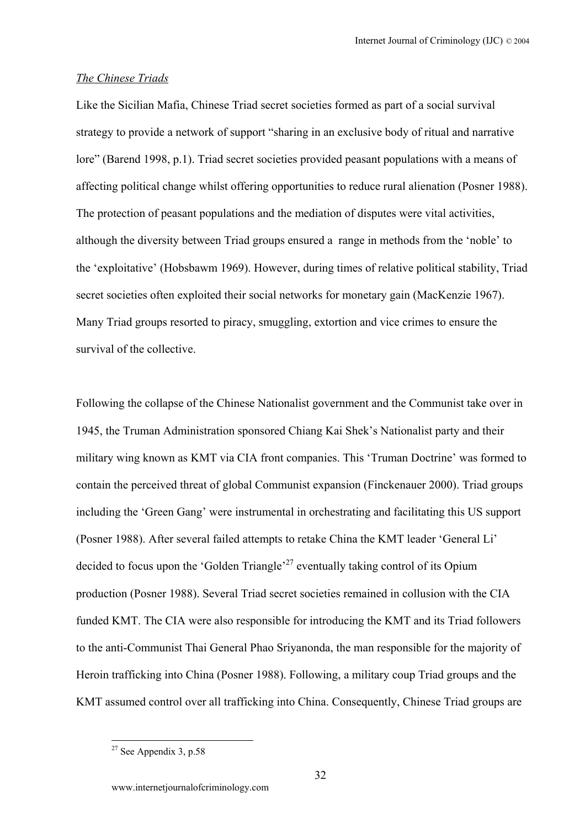## *The Chinese Triads*

Like the Sicilian Mafia, Chinese Triad secret societies formed as part of a social survival strategy to provide a network of support "sharing in an exclusive body of ritual and narrative lore" (Barend 1998, p.1). Triad secret societies provided peasant populations with a means of affecting political change whilst offering opportunities to reduce rural alienation (Posner 1988). The protection of peasant populations and the mediation of disputes were vital activities, although the diversity between Triad groups ensured a range in methods from the 'noble' to the 'exploitative' (Hobsbawm 1969). However, during times of relative political stability, Triad secret societies often exploited their social networks for monetary gain (MacKenzie 1967). Many Triad groups resorted to piracy, smuggling, extortion and vice crimes to ensure the survival of the collective.

Following the collapse of the Chinese Nationalist government and the Communist take over in 1945, the Truman Administration sponsored Chiang Kai Shek's Nationalist party and their military wing known as KMT via CIA front companies. This 'Truman Doctrine' was formed to contain the perceived threat of global Communist expansion (Finckenauer 2000). Triad groups including the 'Green Gang' were instrumental in orchestrating and facilitating this US support (Posner 1988). After several failed attempts to retake China the KMT leader 'General Li' decided to focus upon the 'Golden Triangle'<sup>27</sup> eventually taking control of its Opium production (Posner 1988). Several Triad secret societies remained in collusion with the CIA funded KMT. The CIA were also responsible for introducing the KMT and its Triad followers to the anti-Communist Thai General Phao Sriyanonda, the man responsible for the majority of Heroin trafficking into China (Posner 1988). Following, a military coup Triad groups and the KMT assumed control over all trafficking into China. Consequently, Chinese Triad groups are

<span id="page-31-0"></span> $27$  See Appendix 3, p.58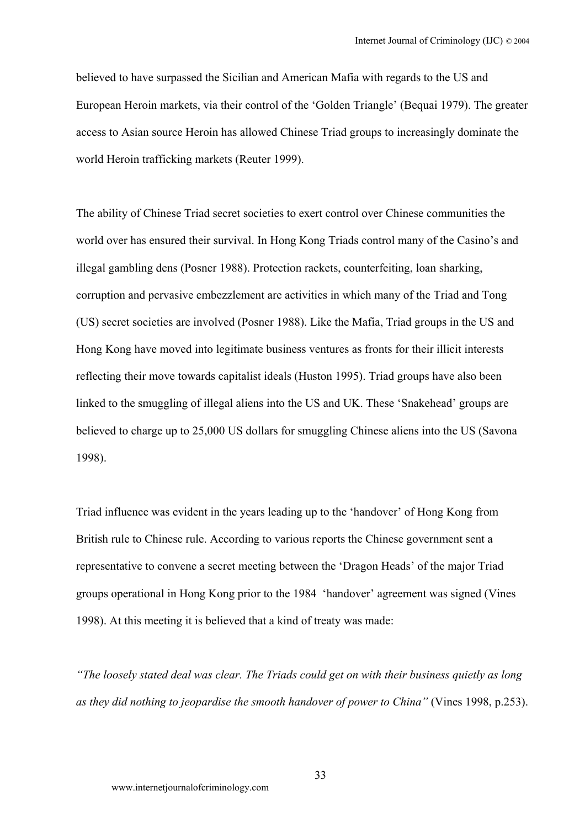believed to have surpassed the Sicilian and American Mafia with regards to the US and European Heroin markets, via their control of the 'Golden Triangle' (Bequai 1979). The greater access to Asian source Heroin has allowed Chinese Triad groups to increasingly dominate the world Heroin trafficking markets (Reuter 1999).

The ability of Chinese Triad secret societies to exert control over Chinese communities the world over has ensured their survival. In Hong Kong Triads control many of the Casino's and illegal gambling dens (Posner 1988). Protection rackets, counterfeiting, loan sharking, corruption and pervasive embezzlement are activities in which many of the Triad and Tong (US) secret societies are involved (Posner 1988). Like the Mafia, Triad groups in the US and Hong Kong have moved into legitimate business ventures as fronts for their illicit interests reflecting their move towards capitalist ideals (Huston 1995). Triad groups have also been linked to the smuggling of illegal aliens into the US and UK. These 'Snakehead' groups are believed to charge up to 25,000 US dollars for smuggling Chinese aliens into the US (Savona 1998).

Triad influence was evident in the years leading up to the 'handover' of Hong Kong from British rule to Chinese rule. According to various reports the Chinese government sent a representative to convene a secret meeting between the 'Dragon Heads' of the major Triad groups operational in Hong Kong prior to the 1984 'handover' agreement was signed (Vines 1998). At this meeting it is believed that a kind of treaty was made:

*"The loosely stated deal was clear. The Triads could get on with their business quietly as long as they did nothing to jeopardise the smooth handover of power to China"* (Vines 1998, p.253).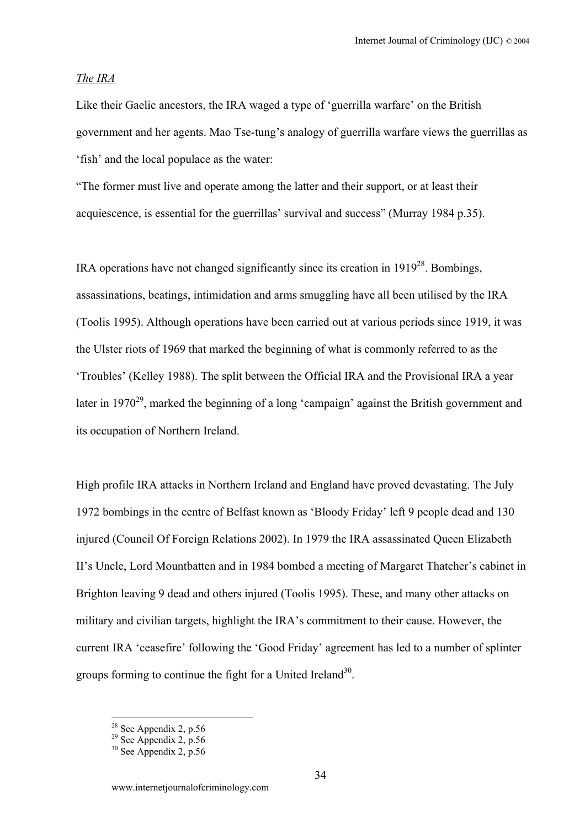### *The IRA*

Like their Gaelic ancestors, the IRA waged a type of 'guerrilla warfare' on the British government and her agents. Mao Tse-tung's analogy of guerrilla warfare views the guerrillas as 'fish' and the local populace as the water:

"The former must live and operate among the latter and their support, or at least their acquiescence, is essential for the guerrillas' survival and success" (Murray 1984 p.35).

IRA operations have not changed significantly since its creation in  $1919^{28}$ . Bombings, assassinations, beatings, intimidation and arms smuggling have all been utilised by the IRA (Toolis 1995). Although operations have been carried out at various periods since 1919, it was the Ulster riots of 1969 that marked the beginning of what is commonly referred to as the 'Troubles' (Kelley 1988). The split between the Official IRA and the Provisional IRA a year later in  $1970^{29}$ , marked the beginning of a long 'campaign' against the British government and its occupation of Northern Ireland.

High profile IRA attacks in Northern Ireland and England have proved devastating. The July 1972 bombings in the centre of Belfast known as 'Bloody Friday' left 9 people dead and 130 injured (Council Of Foreign Relations 2002). In 1979 the IRA assassinated Queen Elizabeth II's Uncle, Lord Mountbatten and in 1984 bombed a meeting of Margaret Thatcher's cabinet in Brighton leaving 9 dead and others injured (Toolis 1995). These, and many other attacks on military and civilian targets, highlight the IRA's commitment to their cause. However, the current IRA 'ceasefire' following the 'Good Friday' agreement has led to a number of splinter groups forming to continue the fight for a United Ireland<sup>30</sup>.

<span id="page-33-1"></span>

<span id="page-33-0"></span><sup>&</sup>lt;sup>28</sup> See Appendix 2, p.56<br><sup>29</sup> See Appendix 2, p.56<br><sup>30</sup> See Appendix 2, p.56

<span id="page-33-2"></span>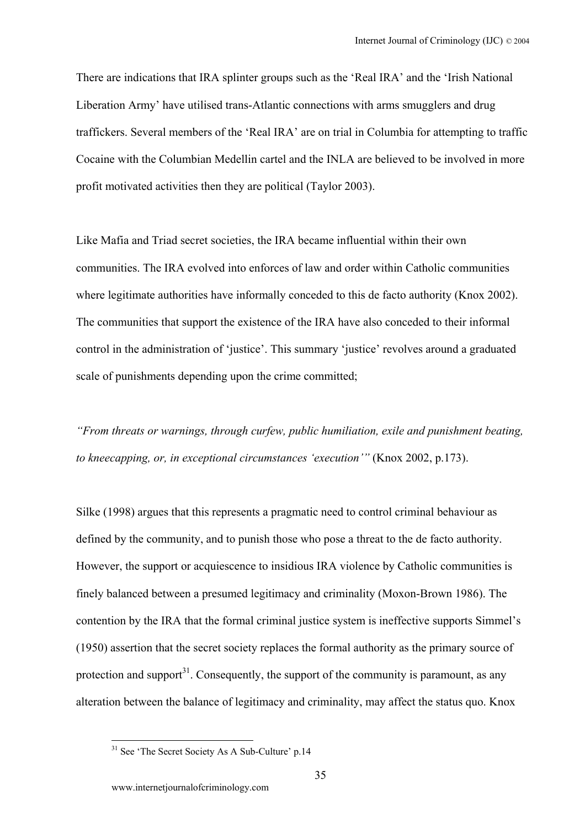There are indications that IRA splinter groups such as the 'Real IRA' and the 'Irish National Liberation Army' have utilised trans-Atlantic connections with arms smugglers and drug traffickers. Several members of the 'Real IRA' are on trial in Columbia for attempting to traffic Cocaine with the Columbian Medellin cartel and the INLA are believed to be involved in more profit motivated activities then they are political (Taylor 2003).

Like Mafia and Triad secret societies, the IRA became influential within their own communities. The IRA evolved into enforces of law and order within Catholic communities where legitimate authorities have informally conceded to this de facto authority (Knox 2002). The communities that support the existence of the IRA have also conceded to their informal control in the administration of 'justice'. This summary 'justice' revolves around a graduated scale of punishments depending upon the crime committed;

*"From threats or warnings, through curfew, public humiliation, exile and punishment beating, to kneecapping, or, in exceptional circumstances 'execution'"* (Knox 2002, p.173).

Silke (1998) argues that this represents a pragmatic need to control criminal behaviour as defined by the community, and to punish those who pose a threat to the de facto authority. However, the support or acquiescence to insidious IRA violence by Catholic communities is finely balanced between a presumed legitimacy and criminality (Moxon-Brown 1986). The contention by the IRA that the formal criminal justice system is ineffective supports Simmel's (1950) assertion that the secret society replaces the formal authority as the primary source of protection and support $3<sup>1</sup>$ . Consequently, the support of the community is paramount, as any alteration between the balance of legitimacy and criminality, may affect the status quo. Knox

<span id="page-34-0"></span> $31$  See 'The Secret Society As A Sub-Culture' p.14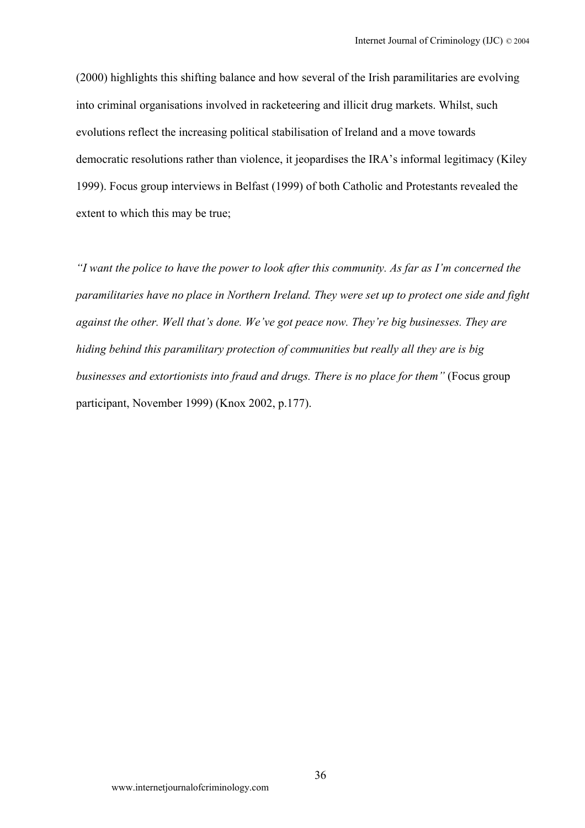(2000) highlights this shifting balance and how several of the Irish paramilitaries are evolving into criminal organisations involved in racketeering and illicit drug markets. Whilst, such evolutions reflect the increasing political stabilisation of Ireland and a move towards democratic resolutions rather than violence, it jeopardises the IRA's informal legitimacy (Kiley 1999). Focus group interviews in Belfast (1999) of both Catholic and Protestants revealed the extent to which this may be true;

*"I want the police to have the power to look after this community. As far as I'm concerned the paramilitaries have no place in Northern Ireland. They were set up to protect one side and fight against the other. Well that's done. We've got peace now. They're big businesses. They are hiding behind this paramilitary protection of communities but really all they are is big businesses and extortionists into fraud and drugs. There is no place for them"* (Focus group participant, November 1999) (Knox 2002, p.177).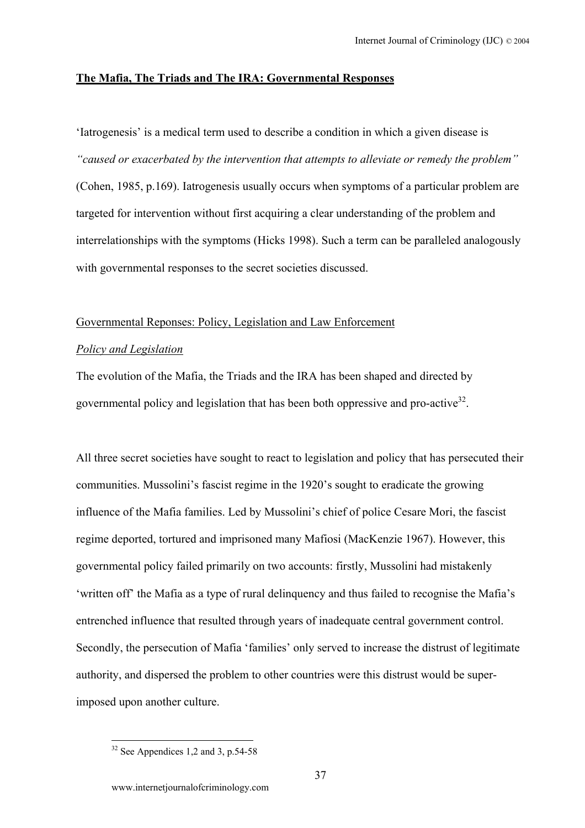## **The Mafia, The Triads and The IRA: Governmental Responses**

'Iatrogenesis' is a medical term used to describe a condition in which a given disease is *"caused or exacerbated by the intervention that attempts to alleviate or remedy the problem"* (Cohen, 1985, p.169). Iatrogenesis usually occurs when symptoms of a particular problem are targeted for intervention without first acquiring a clear understanding of the problem and interrelationships with the symptoms (Hicks 1998). Such a term can be paralleled analogously with governmental responses to the secret societies discussed.

#### Governmental Reponses: Policy, Legislation and Law Enforcement

## *Policy and Legislation*

The evolution of the Mafia, the Triads and the IRA has been shaped and directed by governmental policy and legislation that has been both oppressive and pro-active<sup>32</sup>.

All three secret societies have sought to react to legislation and policy that has persecuted their communities. Mussolini's fascist regime in the 1920's sought to eradicate the growing influence of the Mafia families. Led by Mussolini's chief of police Cesare Mori, the fascist regime deported, tortured and imprisoned many Mafiosi (MacKenzie 1967). However, this governmental policy failed primarily on two accounts: firstly, Mussolini had mistakenly 'written off' the Mafia as a type of rural delinquency and thus failed to recognise the Mafia's entrenched influence that resulted through years of inadequate central government control. Secondly, the persecution of Mafia 'families' only served to increase the distrust of legitimate authority, and dispersed the problem to other countries were this distrust would be superimposed upon another culture.

<span id="page-36-0"></span> $\overline{a}$  $32$  See Appendices 1,2 and 3, p.54-58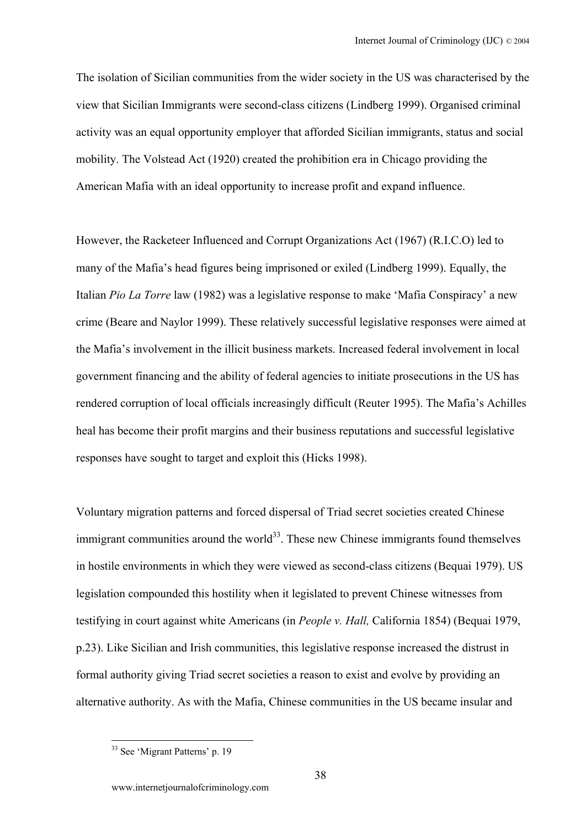The isolation of Sicilian communities from the wider society in the US was characterised by the view that Sicilian Immigrants were second-class citizens (Lindberg 1999). Organised criminal activity was an equal opportunity employer that afforded Sicilian immigrants, status and social mobility. The Volstead Act (1920) created the prohibition era in Chicago providing the American Mafia with an ideal opportunity to increase profit and expand influence.

However, the Racketeer Influenced and Corrupt Organizations Act (1967) (R.I.C.O) led to many of the Mafia's head figures being imprisoned or exiled (Lindberg 1999). Equally, the Italian *Pio La Torre* law (1982) was a legislative response to make 'Mafia Conspiracy' a new crime (Beare and Naylor 1999). These relatively successful legislative responses were aimed at the Mafia's involvement in the illicit business markets. Increased federal involvement in local government financing and the ability of federal agencies to initiate prosecutions in the US has rendered corruption of local officials increasingly difficult (Reuter 1995). The Mafia's Achilles heal has become their profit margins and their business reputations and successful legislative responses have sought to target and exploit this (Hicks 1998).

Voluntary migration patterns and forced dispersal of Triad secret societies created Chinese immigrant communities around the world $^{33}$ . These new Chinese immigrants found themselves in hostile environments in which they were viewed as second-class citizens (Bequai 1979). US legislation compounded this hostility when it legislated to prevent Chinese witnesses from testifying in court against white Americans (in *People v. Hall,* California 1854) (Bequai 1979, p.23). Like Sicilian and Irish communities, this legislative response increased the distrust in formal authority giving Triad secret societies a reason to exist and evolve by providing an alternative authority. As with the Mafia, Chinese communities in the US became insular and

<span id="page-37-0"></span><sup>&</sup>lt;sup>33</sup> See 'Migrant Patterns' p. 19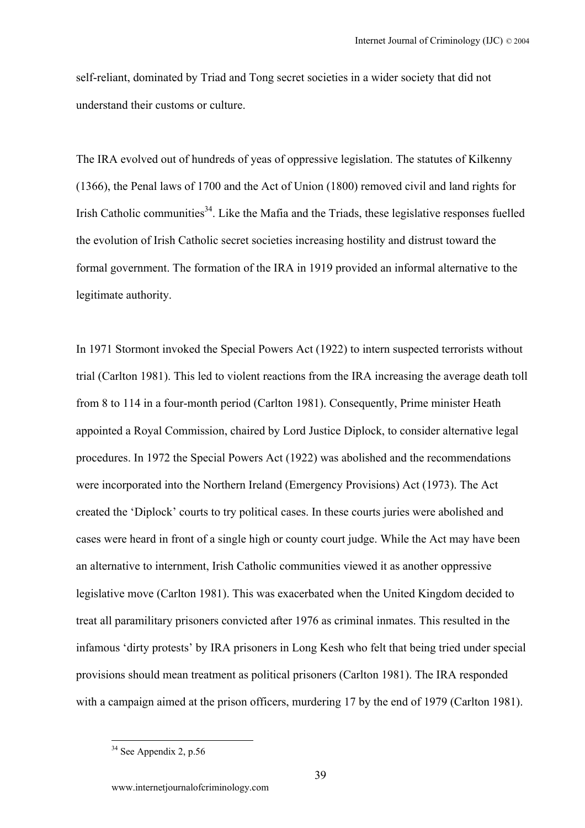self-reliant, dominated by Triad and Tong secret societies in a wider society that did not understand their customs or culture.

The IRA evolved out of hundreds of yeas of oppressive legislation. The statutes of Kilkenny (1366), the Penal laws of 1700 and the Act of Union (1800) removed civil and land rights for Irish Catholic communities<sup>34</sup>. Like the Mafia and the Triads, these legislative responses fuelled the evolution of Irish Catholic secret societies increasing hostility and distrust toward the formal government. The formation of the IRA in 1919 provided an informal alternative to the legitimate authority.

In 1971 Stormont invoked the Special Powers Act (1922) to intern suspected terrorists without trial (Carlton 1981). This led to violent reactions from the IRA increasing the average death toll from 8 to 114 in a four-month period (Carlton 1981). Consequently, Prime minister Heath appointed a Royal Commission, chaired by Lord Justice Diplock, to consider alternative legal procedures. In 1972 the Special Powers Act (1922) was abolished and the recommendations were incorporated into the Northern Ireland (Emergency Provisions) Act (1973). The Act created the 'Diplock' courts to try political cases. In these courts juries were abolished and cases were heard in front of a single high or county court judge. While the Act may have been an alternative to internment, Irish Catholic communities viewed it as another oppressive legislative move (Carlton 1981). This was exacerbated when the United Kingdom decided to treat all paramilitary prisoners convicted after 1976 as criminal inmates. This resulted in the infamous 'dirty protests' by IRA prisoners in Long Kesh who felt that being tried under special provisions should mean treatment as political prisoners (Carlton 1981). The IRA responded with a campaign aimed at the prison officers, murdering 17 by the end of 1979 (Carlton 1981).

<span id="page-38-0"></span> $34$  See Appendix 2, p.56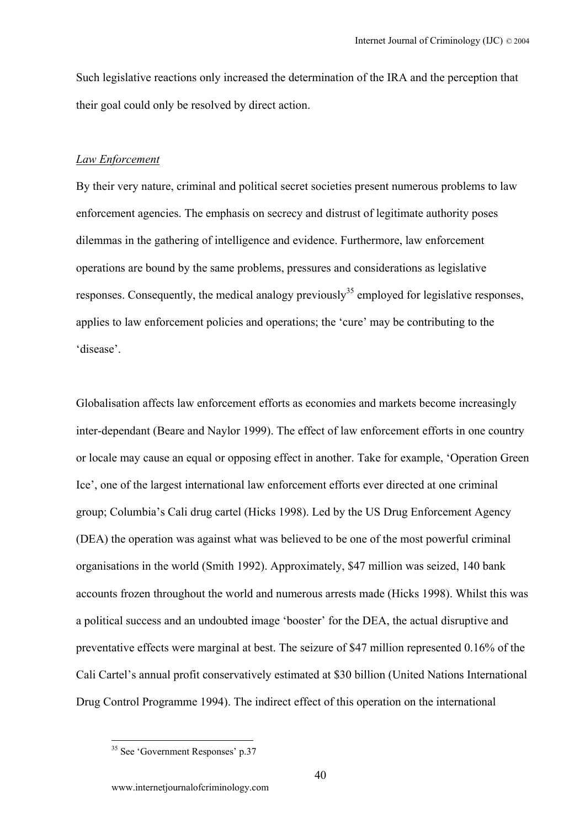Such legislative reactions only increased the determination of the IRA and the perception that their goal could only be resolved by direct action.

#### *Law Enforcement*

By their very nature, criminal and political secret societies present numerous problems to law enforcement agencies. The emphasis on secrecy and distrust of legitimate authority poses dilemmas in the gathering of intelligence and evidence. Furthermore, law enforcement operations are bound by the same problems, pressures and considerations as legislative responses. Consequently, the medical analogy previously<sup>35</sup> employed for legislative responses, applies to law enforcement policies and operations; the 'cure' may be contributing to the 'disease'.

Globalisation affects law enforcement efforts as economies and markets become increasingly inter-dependant (Beare and Naylor 1999). The effect of law enforcement efforts in one country or locale may cause an equal or opposing effect in another. Take for example, 'Operation Green Ice', one of the largest international law enforcement efforts ever directed at one criminal group; Columbia's Cali drug cartel (Hicks 1998). Led by the US Drug Enforcement Agency (DEA) the operation was against what was believed to be one of the most powerful criminal organisations in the world (Smith 1992). Approximately, \$47 million was seized, 140 bank accounts frozen throughout the world and numerous arrests made (Hicks 1998). Whilst this was a political success and an undoubted image 'booster' for the DEA, the actual disruptive and preventative effects were marginal at best. The seizure of \$47 million represented 0.16% of the Cali Cartel's annual profit conservatively estimated at \$30 billion (United Nations International Drug Control Programme 1994). The indirect effect of this operation on the international

<span id="page-39-0"></span><sup>&</sup>lt;sup>35</sup> See 'Government Responses' p.37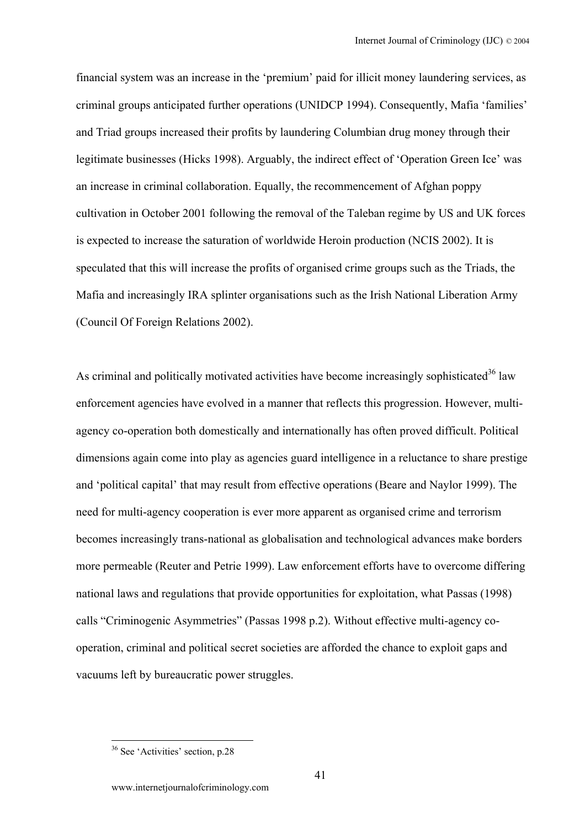financial system was an increase in the 'premium' paid for illicit money laundering services, as criminal groups anticipated further operations (UNIDCP 1994). Consequently, Mafia 'families' and Triad groups increased their profits by laundering Columbian drug money through their legitimate businesses (Hicks 1998). Arguably, the indirect effect of 'Operation Green Ice' was an increase in criminal collaboration. Equally, the recommencement of Afghan poppy cultivation in October 2001 following the removal of the Taleban regime by US and UK forces is expected to increase the saturation of worldwide Heroin production (NCIS 2002). It is speculated that this will increase the profits of organised crime groups such as the Triads, the Mafia and increasingly IRA splinter organisations such as the Irish National Liberation Army (Council Of Foreign Relations 2002).

As criminal and politically motivated activities have become increasingly sophisticated<sup>36</sup> law enforcement agencies have evolved in a manner that reflects this progression. However, multiagency co-operation both domestically and internationally has often proved difficult. Political dimensions again come into play as agencies guard intelligence in a reluctance to share prestige and 'political capital' that may result from effective operations (Beare and Naylor 1999). The need for multi-agency cooperation is ever more apparent as organised crime and terrorism becomes increasingly trans-national as globalisation and technological advances make borders more permeable (Reuter and Petrie 1999). Law enforcement efforts have to overcome differing national laws and regulations that provide opportunities for exploitation, what Passas (1998) calls "Criminogenic Asymmetries" (Passas 1998 p.2). Without effective multi-agency cooperation, criminal and political secret societies are afforded the chance to exploit gaps and vacuums left by bureaucratic power struggles.

<span id="page-40-0"></span><sup>36</sup> See 'Activities' section, p.28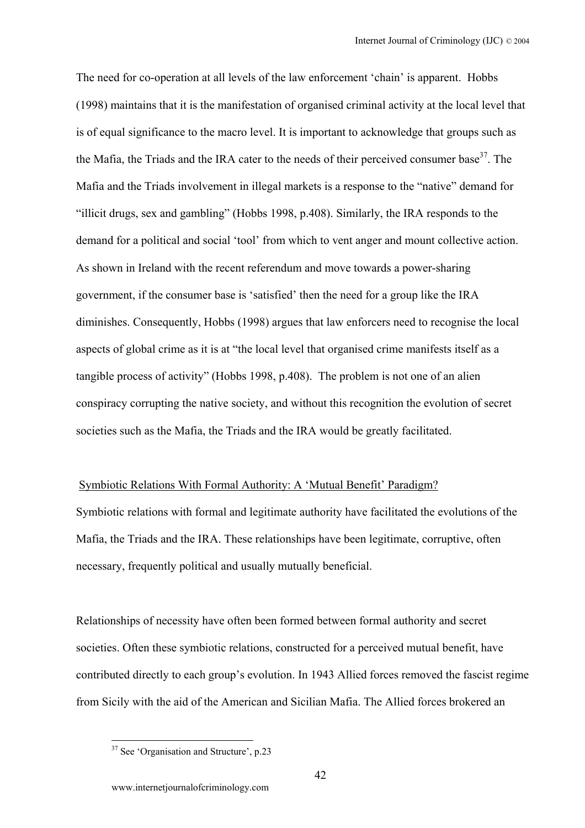The need for co-operation at all levels of the law enforcement 'chain' is apparent. Hobbs (1998) maintains that it is the manifestation of organised criminal activity at the local level that is of equal significance to the macro level. It is important to acknowledge that groups such as the Mafia, the Triads and the IRA cater to the needs of their perceived consumer base<sup>37</sup>. The Mafia and the Triads involvement in illegal markets is a response to the "native" demand for "illicit drugs, sex and gambling" (Hobbs 1998, p.408). Similarly, the IRA responds to the demand for a political and social 'tool' from which to vent anger and mount collective action. As shown in Ireland with the recent referendum and move towards a power-sharing government, if the consumer base is 'satisfied' then the need for a group like the IRA diminishes. Consequently, Hobbs (1998) argues that law enforcers need to recognise the local aspects of global crime as it is at "the local level that organised crime manifests itself as a tangible process of activity" (Hobbs 1998, p.408). The problem is not one of an alien conspiracy corrupting the native society, and without this recognition the evolution of secret societies such as the Mafia, the Triads and the IRA would be greatly facilitated.

### Symbiotic Relations With Formal Authority: A 'Mutual Benefit' Paradigm?

Symbiotic relations with formal and legitimate authority have facilitated the evolutions of the Mafia, the Triads and the IRA. These relationships have been legitimate, corruptive, often necessary, frequently political and usually mutually beneficial.

Relationships of necessity have often been formed between formal authority and secret societies. Often these symbiotic relations, constructed for a perceived mutual benefit, have contributed directly to each group's evolution. In 1943 Allied forces removed the fascist regime from Sicily with the aid of the American and Sicilian Mafia. The Allied forces brokered an

<span id="page-41-0"></span><sup>&</sup>lt;sup>37</sup> See 'Organisation and Structure', p.23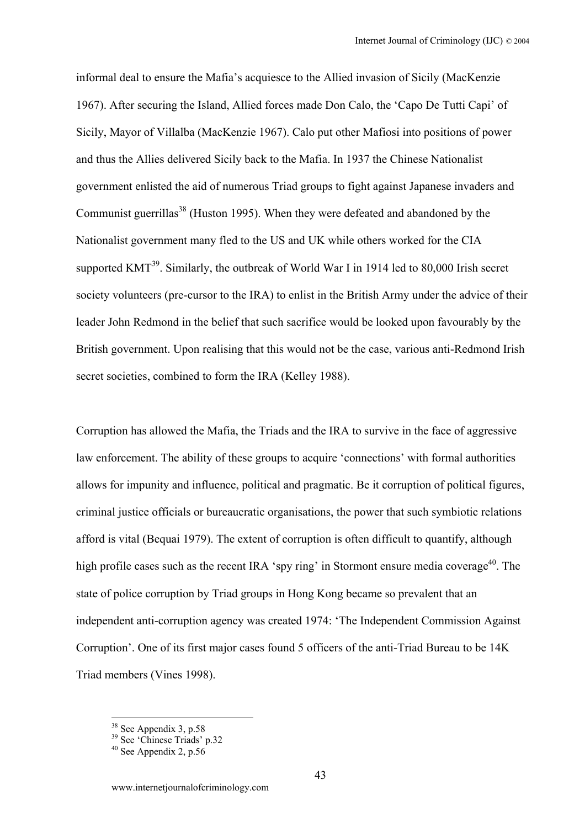informal deal to ensure the Mafia's acquiesce to the Allied invasion of Sicily (MacKenzie 1967). After securing the Island, Allied forces made Don Calo, the 'Capo De Tutti Capi' of Sicily, Mayor of Villalba (MacKenzie 1967). Calo put other Mafiosi into positions of power and thus the Allies delivered Sicily back to the Mafia. In 1937 the Chinese Nationalist government enlisted the aid of numerous Triad groups to fight against Japanese invaders and Communist guerrillas<sup>38</sup> (Huston 1995). When they were defeated and abandoned by the Nationalist government many fled to the US and UK while others worked for the CIA supported  $KMT<sup>39</sup>$ . Similarly, the outbreak of World War I in 1914 led to 80,000 Irish secret society volunteers (pre-cursor to the IRA) to enlist in the British Army under the advice of their leader John Redmond in the belief that such sacrifice would be looked upon favourably by the British government. Upon realising that this would not be the case, various anti-Redmond Irish secret societies, combined to form the IRA (Kelley 1988).

Corruption has allowed the Mafia, the Triads and the IRA to survive in the face of aggressive law enforcement. The ability of these groups to acquire 'connections' with formal authorities allows for impunity and influence, political and pragmatic. Be it corruption of political figures, criminal justice officials or bureaucratic organisations, the power that such symbiotic relations afford is vital (Bequai 1979). The extent of corruption is often difficult to quantify, although high profile cases such as the recent IRA 'spy ring' in Stormont ensure media coverage<sup>40</sup>. The state of police corruption by Triad groups in Hong Kong became so prevalent that an independent anti-corruption agency was created 1974: 'The Independent Commission Against Corruption'. One of its first major cases found 5 officers of the anti-Triad Bureau to be 14K Triad members (Vines 1998).

<span id="page-42-1"></span><span id="page-42-0"></span>

<sup>&</sup>lt;sup>38</sup> See Appendix 3, p.58<br><sup>39</sup> See 'Chinese Triads' p.32<br><sup>40</sup> See Appendix 2, p.56

<span id="page-42-2"></span>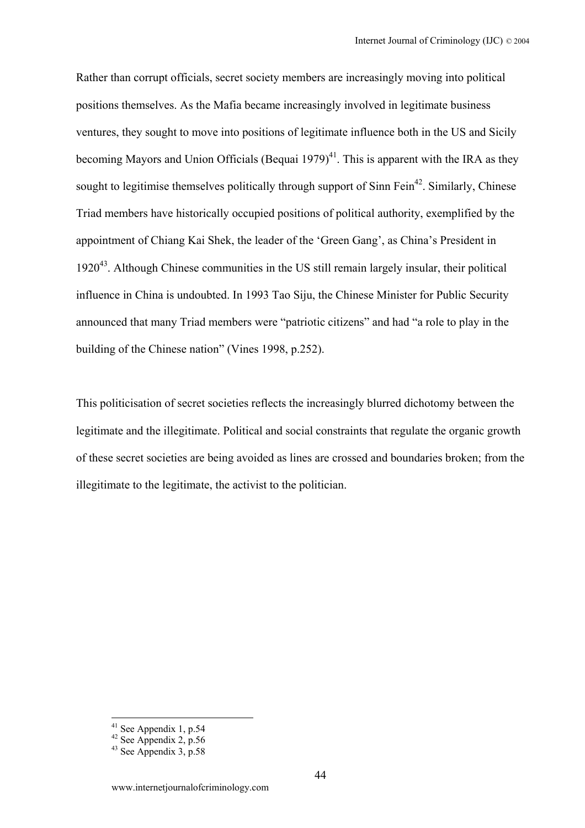Rather than corrupt officials, secret society members are increasingly moving into political positions themselves. As the Mafia became increasingly involved in legitimate business ventures, they sought to move into positions of legitimate influence both in the US and Sicily becoming Mayors and Union Officials (Bequai  $1979)^{41}$ . This is apparent with the IRA as they sought to legitimise themselves politically through support of  $Simn Fein<sup>42</sup>$ . Similarly, Chinese Triad members have historically occupied positions of political authority, exemplified by the appointment of Chiang Kai Shek, the leader of the 'Green Gang', as China's President in 192[043.](#page-43-2) Although Chinese communities in the US still remain largely insular, their political influence in China is undoubted. In 1993 Tao Siju, the Chinese Minister for Public Security announced that many Triad members were "patriotic citizens" and had "a role to play in the building of the Chinese nation" (Vines 1998, p.252).

This politicisation of secret societies reflects the increasingly blurred dichotomy between the legitimate and the illegitimate. Political and social constraints that regulate the organic growth of these secret societies are being avoided as lines are crossed and boundaries broken; from the illegitimate to the legitimate, the activist to the politician.

<span id="page-43-1"></span><span id="page-43-0"></span>

<sup>&</sup>lt;sup>41</sup> See Appendix 1, p.54<br><sup>42</sup> See Appendix 2, p.56<br><sup>43</sup> See Appendix 3, p.58

<span id="page-43-2"></span>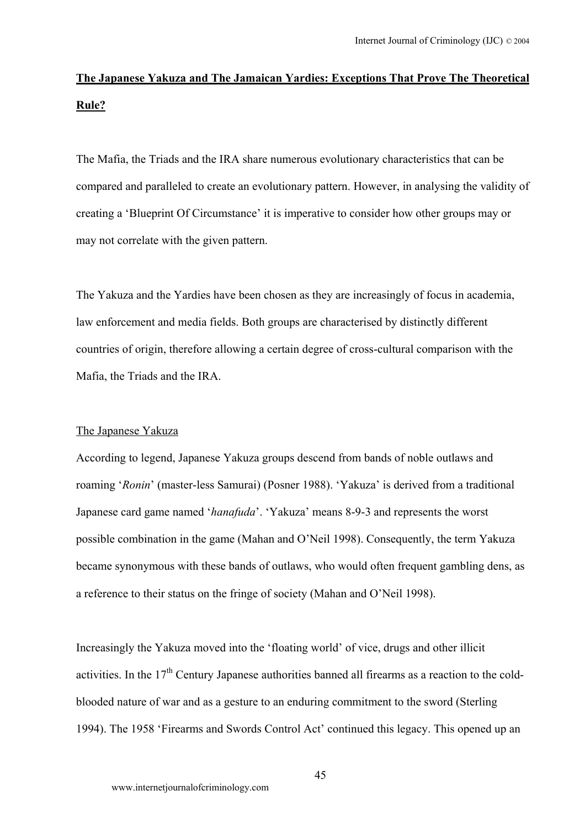# **The Japanese Yakuza and The Jamaican Yardies: Exceptions That Prove The Theoretical Rule?**

The Mafia, the Triads and the IRA share numerous evolutionary characteristics that can be compared and paralleled to create an evolutionary pattern. However, in analysing the validity of creating a 'Blueprint Of Circumstance' it is imperative to consider how other groups may or may not correlate with the given pattern.

The Yakuza and the Yardies have been chosen as they are increasingly of focus in academia, law enforcement and media fields. Both groups are characterised by distinctly different countries of origin, therefore allowing a certain degree of cross-cultural comparison with the Mafia, the Triads and the IRA.

## The Japanese Yakuza

According to legend, Japanese Yakuza groups descend from bands of noble outlaws and roaming '*Ronin*' (master-less Samurai) (Posner 1988). 'Yakuza' is derived from a traditional Japanese card game named '*hanafuda*'. 'Yakuza' means 8-9-3 and represents the worst possible combination in the game (Mahan and O'Neil 1998). Consequently, the term Yakuza became synonymous with these bands of outlaws, who would often frequent gambling dens, as a reference to their status on the fringe of society (Mahan and O'Neil 1998).

Increasingly the Yakuza moved into the 'floating world' of vice, drugs and other illicit activities. In the 17<sup>th</sup> Century Japanese authorities banned all firearms as a reaction to the coldblooded nature of war and as a gesture to an enduring commitment to the sword (Sterling 1994). The 1958 'Firearms and Swords Control Act' continued this legacy. This opened up an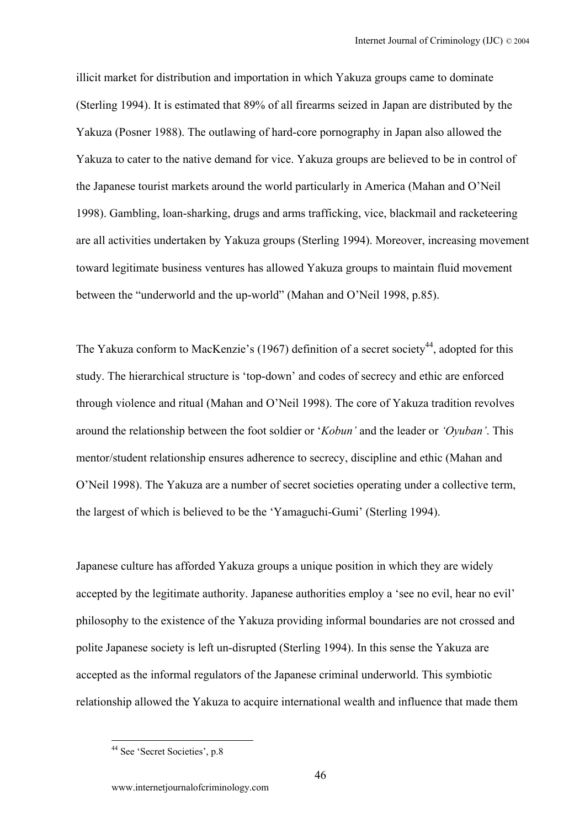illicit market for distribution and importation in which Yakuza groups came to dominate (Sterling 1994). It is estimated that 89% of all firearms seized in Japan are distributed by the Yakuza (Posner 1988). The outlawing of hard-core pornography in Japan also allowed the Yakuza to cater to the native demand for vice. Yakuza groups are believed to be in control of the Japanese tourist markets around the world particularly in America (Mahan and O'Neil 1998). Gambling, loan-sharking, drugs and arms trafficking, vice, blackmail and racketeering are all activities undertaken by Yakuza groups (Sterling 1994). Moreover, increasing movement toward legitimate business ventures has allowed Yakuza groups to maintain fluid movement between the "underworld and the up-world" (Mahan and O'Neil 1998, p.85).

The Yakuza conform to MacKenzie's (1967) definition of a secret society<sup>44</sup>, adopted for this study. The hierarchical structure is 'top-down' and codes of secrecy and ethic are enforced through violence and ritual (Mahan and O'Neil 1998). The core of Yakuza tradition revolves around the relationship between the foot soldier or '*Kobun'* and the leader or *'Oyuban'*. This mentor/student relationship ensures adherence to secrecy, discipline and ethic (Mahan and O'Neil 1998). The Yakuza are a number of secret societies operating under a collective term, the largest of which is believed to be the 'Yamaguchi-Gumi' (Sterling 1994).

Japanese culture has afforded Yakuza groups a unique position in which they are widely accepted by the legitimate authority. Japanese authorities employ a 'see no evil, hear no evil' philosophy to the existence of the Yakuza providing informal boundaries are not crossed and polite Japanese society is left un-disrupted (Sterling 1994). In this sense the Yakuza are accepted as the informal regulators of the Japanese criminal underworld. This symbiotic relationship allowed the Yakuza to acquire international wealth and influence that made them

<span id="page-45-0"></span><sup>&</sup>lt;sup>44</sup> See 'Secret Societies', p.8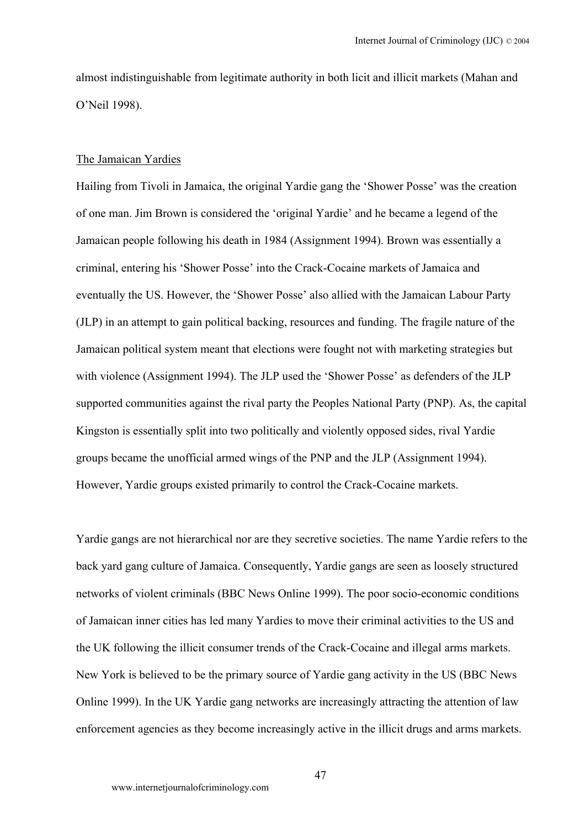almost indistinguishable from legitimate authority in both licit and illicit markets (Mahan and O'Neil 1998).

#### The Jamaican Yardies

Hailing from Tivoli in Jamaica, the original Yardie gang the 'Shower Posse' was the creation of one man. Jim Brown is considered the 'original Yardie' and he became a legend of the Jamaican people following his death in 1984 (Assignment 1994). Brown was essentially a criminal, entering his 'Shower Posse' into the Crack-Cocaine markets of Jamaica and eventually the US. However, the 'Shower Posse' also allied with the Jamaican Labour Party (JLP) in an attempt to gain political backing, resources and funding. The fragile nature of the Jamaican political system meant that elections were fought not with marketing strategies but with violence (Assignment 1994). The JLP used the 'Shower Posse' as defenders of the JLP supported communities against the rival party the Peoples National Party (PNP). As, the capital Kingston is essentially split into two politically and violently opposed sides, rival Yardie groups became the unofficial armed wings of the PNP and the JLP (Assignment 1994). However, Yardie groups existed primarily to control the Crack-Cocaine markets.

Yardie gangs are not hierarchical nor are they secretive societies. The name Yardie refers to the back yard gang culture of Jamaica. Consequently, Yardie gangs are seen as loosely structured networks of violent criminals (BBC News Online 1999). The poor socio-economic conditions of Jamaican inner cities has led many Yardies to move their criminal activities to the US and the UK following the illicit consumer trends of the Crack-Cocaine and illegal arms markets. New York is believed to be the primary source of Yardie gang activity in the US (BBC News Online 1999). In the UK Yardie gang networks are increasingly attracting the attention of law enforcement agencies as they become increasingly active in the illicit drugs and arms markets.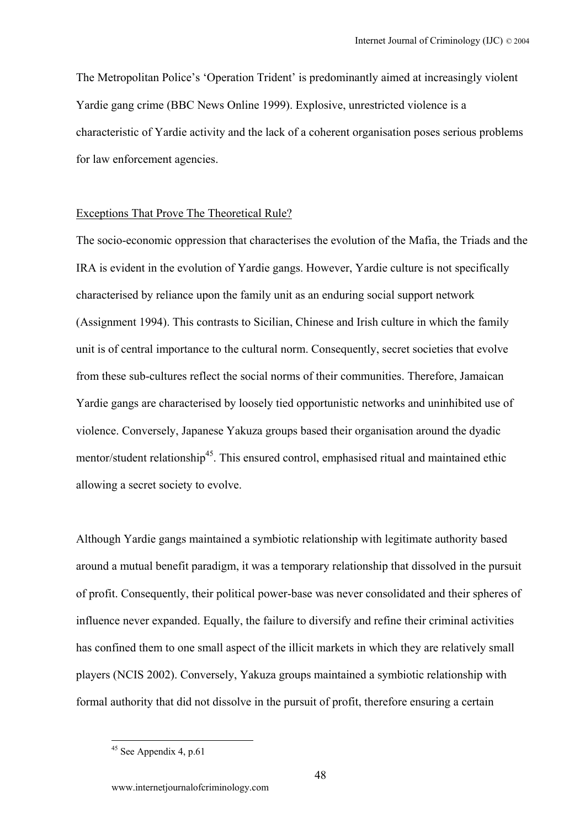The Metropolitan Police's 'Operation Trident' is predominantly aimed at increasingly violent Yardie gang crime (BBC News Online 1999). Explosive, unrestricted violence is a characteristic of Yardie activity and the lack of a coherent organisation poses serious problems for law enforcement agencies.

### Exceptions That Prove The Theoretical Rule?

The socio-economic oppression that characterises the evolution of the Mafia, the Triads and the IRA is evident in the evolution of Yardie gangs. However, Yardie culture is not specifically characterised by reliance upon the family unit as an enduring social support network (Assignment 1994). This contrasts to Sicilian, Chinese and Irish culture in which the family unit is of central importance to the cultural norm. Consequently, secret societies that evolve from these sub-cultures reflect the social norms of their communities. Therefore, Jamaican Yardie gangs are characterised by loosely tied opportunistic networks and uninhibited use of violence. Conversely, Japanese Yakuza groups based their organisation around the dyadic mentor/student relationship<sup>45</sup>. This ensured control, emphasised ritual and maintained ethic allowing a secret society to evolve.

Although Yardie gangs maintained a symbiotic relationship with legitimate authority based around a mutual benefit paradigm, it was a temporary relationship that dissolved in the pursuit of profit. Consequently, their political power-base was never consolidated and their spheres of influence never expanded. Equally, the failure to diversify and refine their criminal activities has confined them to one small aspect of the illicit markets in which they are relatively small players (NCIS 2002). Conversely, Yakuza groups maintained a symbiotic relationship with formal authority that did not dissolve in the pursuit of profit, therefore ensuring a certain

<span id="page-47-0"></span> $45$  See Appendix 4, p.61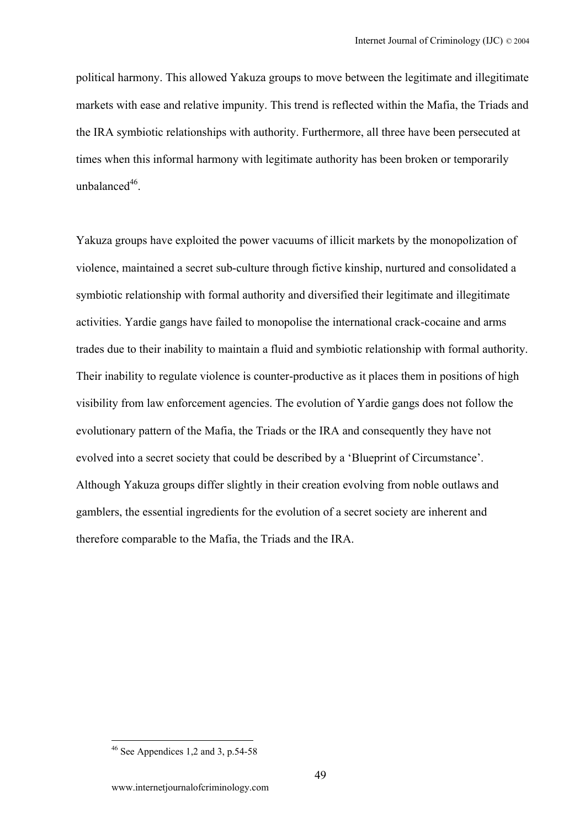political harmony. This allowed Yakuza groups to move between the legitimate and illegitimate markets with ease and relative impunity. This trend is reflected within the Mafia, the Triads and the IRA symbiotic relationships with authority. Furthermore, all three have been persecuted at times when this informal harmony with legitimate authority has been broken or temporarily unbalance $d^{46}$ .

Yakuza groups have exploited the power vacuums of illicit markets by the monopolization of violence, maintained a secret sub-culture through fictive kinship, nurtured and consolidated a symbiotic relationship with formal authority and diversified their legitimate and illegitimate activities. Yardie gangs have failed to monopolise the international crack-cocaine and arms trades due to their inability to maintain a fluid and symbiotic relationship with formal authority. Their inability to regulate violence is counter-productive as it places them in positions of high visibility from law enforcement agencies. The evolution of Yardie gangs does not follow the evolutionary pattern of the Mafia, the Triads or the IRA and consequently they have not evolved into a secret society that could be described by a 'Blueprint of Circumstance'. Although Yakuza groups differ slightly in their creation evolving from noble outlaws and gamblers, the essential ingredients for the evolution of a secret society are inherent and therefore comparable to the Mafia, the Triads and the IRA.

<span id="page-48-0"></span> $46$  See Appendices 1,2 and 3, p.54-58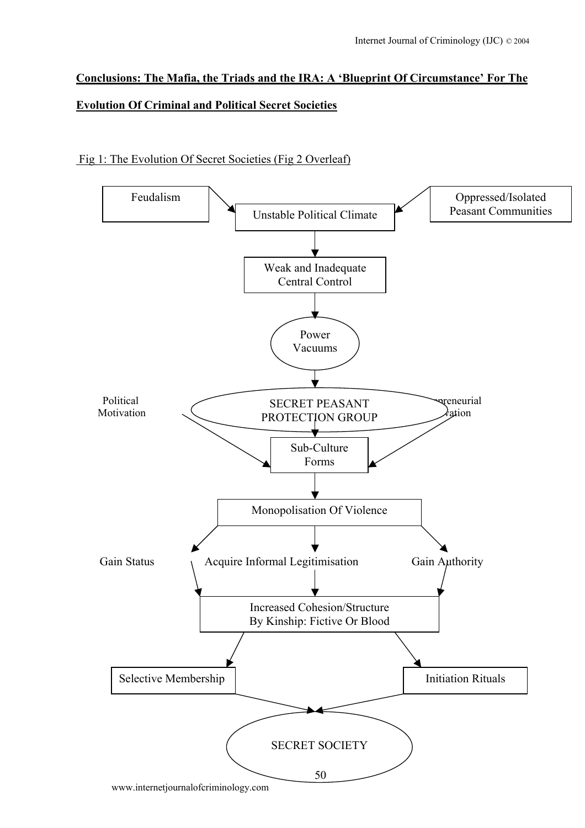# **Conclusions: The Mafia, the Triads and the IRA: A 'Blueprint Of Circumstance' For The Evolution Of Criminal and Political Secret Societies**

# Fig 1: The Evolution Of Secret Societies (Fig 2 Overleaf)

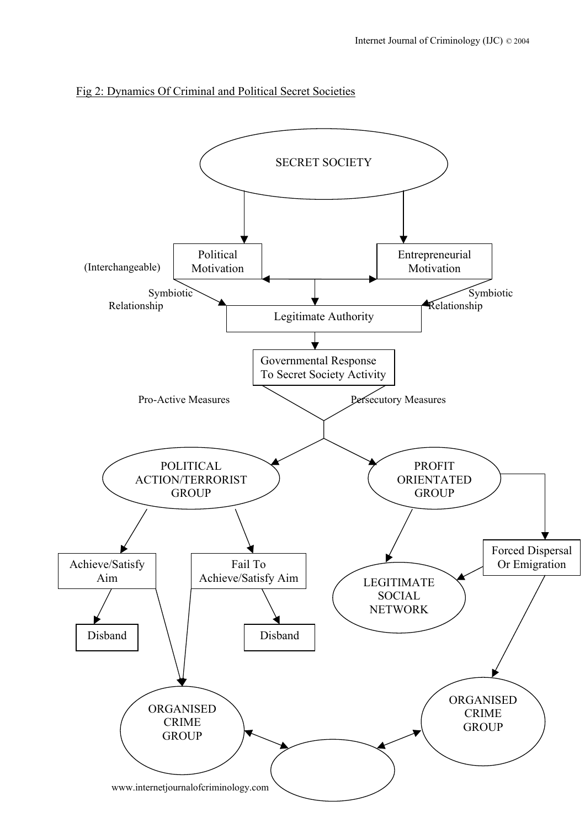

## Fig 2: Dynamics Of Criminal and Political Secret Societies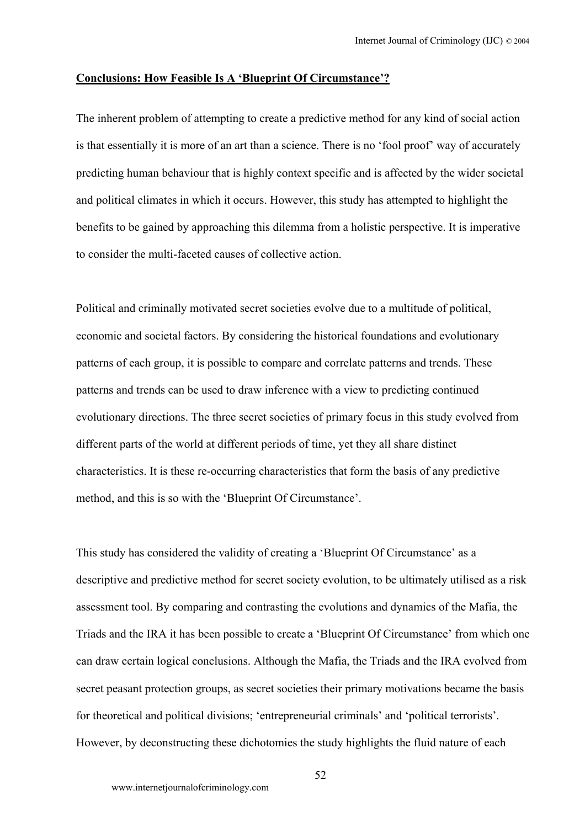#### **Conclusions: How Feasible Is A 'Blueprint Of Circumstance'?**

The inherent problem of attempting to create a predictive method for any kind of social action is that essentially it is more of an art than a science. There is no 'fool proof' way of accurately predicting human behaviour that is highly context specific and is affected by the wider societal and political climates in which it occurs. However, this study has attempted to highlight the benefits to be gained by approaching this dilemma from a holistic perspective. It is imperative to consider the multi-faceted causes of collective action.

Political and criminally motivated secret societies evolve due to a multitude of political, economic and societal factors. By considering the historical foundations and evolutionary patterns of each group, it is possible to compare and correlate patterns and trends. These patterns and trends can be used to draw inference with a view to predicting continued evolutionary directions. The three secret societies of primary focus in this study evolved from different parts of the world at different periods of time, yet they all share distinct characteristics. It is these re-occurring characteristics that form the basis of any predictive method, and this is so with the 'Blueprint Of Circumstance'.

This study has considered the validity of creating a 'Blueprint Of Circumstance' as a descriptive and predictive method for secret society evolution, to be ultimately utilised as a risk assessment tool. By comparing and contrasting the evolutions and dynamics of the Mafia, the Triads and the IRA it has been possible to create a 'Blueprint Of Circumstance' from which one can draw certain logical conclusions. Although the Mafia, the Triads and the IRA evolved from secret peasant protection groups, as secret societies their primary motivations became the basis for theoretical and political divisions; 'entrepreneurial criminals' and 'political terrorists'. However, by deconstructing these dichotomies the study highlights the fluid nature of each

52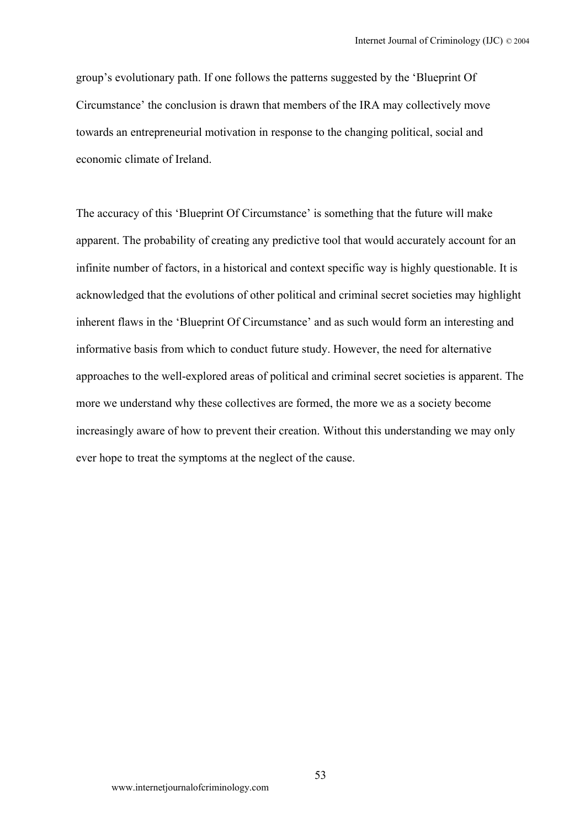group's evolutionary path. If one follows the patterns suggested by the 'Blueprint Of Circumstance' the conclusion is drawn that members of the IRA may collectively move towards an entrepreneurial motivation in response to the changing political, social and economic climate of Ireland.

The accuracy of this 'Blueprint Of Circumstance' is something that the future will make apparent. The probability of creating any predictive tool that would accurately account for an infinite number of factors, in a historical and context specific way is highly questionable. It is acknowledged that the evolutions of other political and criminal secret societies may highlight inherent flaws in the 'Blueprint Of Circumstance' and as such would form an interesting and informative basis from which to conduct future study. However, the need for alternative approaches to the well-explored areas of political and criminal secret societies is apparent. The more we understand why these collectives are formed, the more we as a society become increasingly aware of how to prevent their creation. Without this understanding we may only ever hope to treat the symptoms at the neglect of the cause.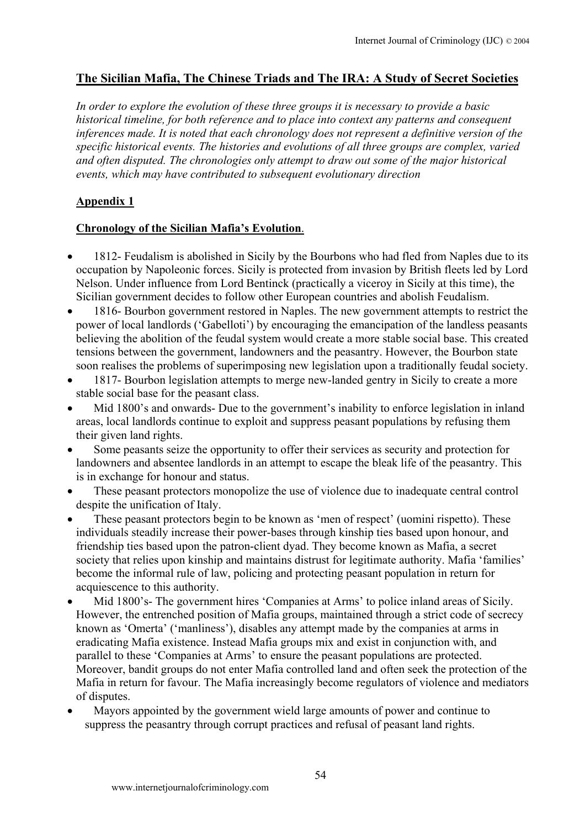# **The Sicilian Mafia, The Chinese Triads and The IRA: A Study of Secret Societies**

*In order to explore the evolution of these three groups it is necessary to provide a basic historical timeline, for both reference and to place into context any patterns and consequent inferences made. It is noted that each chronology does not represent a definitive version of the specific historical events. The histories and evolutions of all three groups are complex, varied and often disputed. The chronologies only attempt to draw out some of the major historical events, which may have contributed to subsequent evolutionary direction* 

# **Appendix 1**

# **Chronology of the Sicilian Mafia's Evolution**.

- 1812- Feudalism is abolished in Sicily by the Bourbons who had fled from Naples due to its occupation by Napoleonic forces. Sicily is protected from invasion by British fleets led by Lord Nelson. Under influence from Lord Bentinck (practically a viceroy in Sicily at this time), the Sicilian government decides to follow other European countries and abolish Feudalism.
- 1816- Bourbon government restored in Naples. The new government attempts to restrict the power of local landlords ('Gabelloti') by encouraging the emancipation of the landless peasants believing the abolition of the feudal system would create a more stable social base. This created tensions between the government, landowners and the peasantry. However, the Bourbon state soon realises the problems of superimposing new legislation upon a traditionally feudal society.
- 1817- Bourbon legislation attempts to merge new-landed gentry in Sicily to create a more stable social base for the peasant class.
- Mid 1800's and onwards- Due to the government's inability to enforce legislation in inland areas, local landlords continue to exploit and suppress peasant populations by refusing them their given land rights.
- Some peasants seize the opportunity to offer their services as security and protection for landowners and absentee landlords in an attempt to escape the bleak life of the peasantry. This is in exchange for honour and status.
- These peasant protectors monopolize the use of violence due to inadequate central control despite the unification of Italy.
- These peasant protectors begin to be known as 'men of respect' (uomini rispetto). These individuals steadily increase their power-bases through kinship ties based upon honour, and friendship ties based upon the patron-client dyad. They become known as Mafia, a secret society that relies upon kinship and maintains distrust for legitimate authority. Mafia 'families' become the informal rule of law, policing and protecting peasant population in return for acquiescence to this authority.
- Mid 1800's- The government hires 'Companies at Arms' to police inland areas of Sicily. However, the entrenched position of Mafia groups, maintained through a strict code of secrecy known as 'Omerta' ('manliness'), disables any attempt made by the companies at arms in eradicating Mafia existence. Instead Mafia groups mix and exist in conjunction with, and parallel to these 'Companies at Arms' to ensure the peasant populations are protected. Moreover, bandit groups do not enter Mafia controlled land and often seek the protection of the Mafia in return for favour. The Mafia increasingly become regulators of violence and mediators of disputes.
- Mayors appointed by the government wield large amounts of power and continue to suppress the peasantry through corrupt practices and refusal of peasant land rights.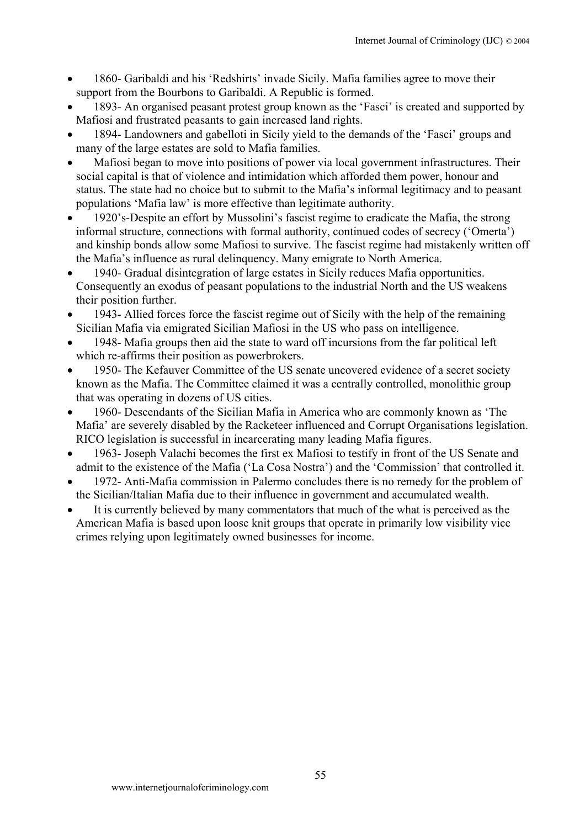- 1860- Garibaldi and his 'Redshirts' invade Sicily. Mafia families agree to move their support from the Bourbons to Garibaldi. A Republic is formed.
- 1893- An organised peasant protest group known as the 'Fasci' is created and supported by Mafiosi and frustrated peasants to gain increased land rights.
- 1894- Landowners and gabelloti in Sicily yield to the demands of the 'Fasci' groups and many of the large estates are sold to Mafia families.
- Mafiosi began to move into positions of power via local government infrastructures. Their social capital is that of violence and intimidation which afforded them power, honour and status. The state had no choice but to submit to the Mafia's informal legitimacy and to peasant populations 'Mafia law' is more effective than legitimate authority.
- 1920's-Despite an effort by Mussolini's fascist regime to eradicate the Mafia, the strong informal structure, connections with formal authority, continued codes of secrecy ('Omerta') and kinship bonds allow some Mafiosi to survive. The fascist regime had mistakenly written off the Mafia's influence as rural delinquency. Many emigrate to North America.
- 1940- Gradual disintegration of large estates in Sicily reduces Mafia opportunities. Consequently an exodus of peasant populations to the industrial North and the US weakens their position further.
- 1943- Allied forces force the fascist regime out of Sicily with the help of the remaining Sicilian Mafia via emigrated Sicilian Mafiosi in the US who pass on intelligence.
- 1948- Mafia groups then aid the state to ward off incursions from the far political left which re-affirms their position as powerbrokers.
- 1950- The Kefauver Committee of the US senate uncovered evidence of a secret society known as the Mafia. The Committee claimed it was a centrally controlled, monolithic group that was operating in dozens of US cities.
- 1960- Descendants of the Sicilian Mafia in America who are commonly known as 'The Mafia' are severely disabled by the Racketeer influenced and Corrupt Organisations legislation. RICO legislation is successful in incarcerating many leading Mafia figures.
- 1963- Joseph Valachi becomes the first ex Mafiosi to testify in front of the US Senate and admit to the existence of the Mafia ('La Cosa Nostra') and the 'Commission' that controlled it.
- 1972- Anti-Mafia commission in Palermo concludes there is no remedy for the problem of the Sicilian/Italian Mafia due to their influence in government and accumulated wealth.
- It is currently believed by many commentators that much of the what is perceived as the American Mafia is based upon loose knit groups that operate in primarily low visibility vice crimes relying upon legitimately owned businesses for income.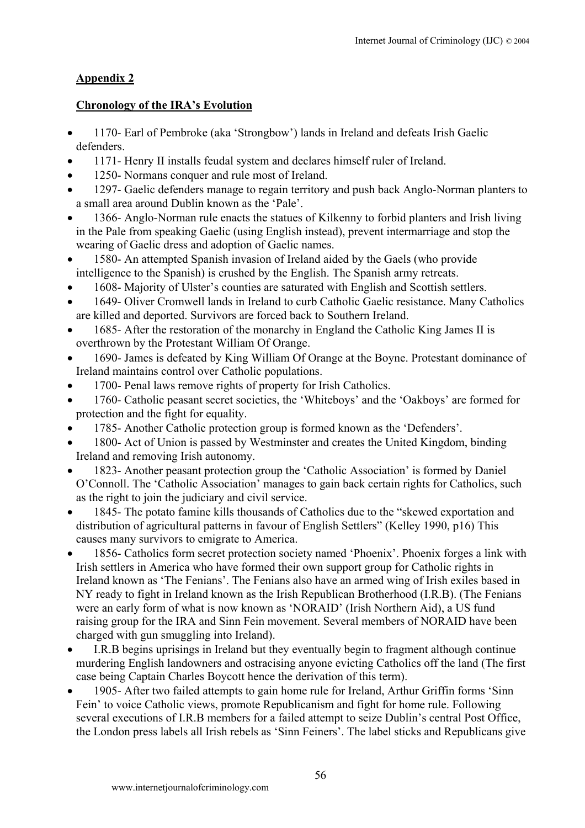# **Appendix 2**

# **Chronology of the IRA's Evolution**

- 1170- Earl of Pembroke (aka 'Strongbow') lands in Ireland and defeats Irish Gaelic defenders.
- 1171- Henry II installs feudal system and declares himself ruler of Ireland.
- 1250- Normans conquer and rule most of Ireland.
- 1297- Gaelic defenders manage to regain territory and push back Anglo-Norman planters to a small area around Dublin known as the 'Pale'.
- 1366- Anglo-Norman rule enacts the statues of Kilkenny to forbid planters and Irish living in the Pale from speaking Gaelic (using English instead), prevent intermarriage and stop the wearing of Gaelic dress and adoption of Gaelic names.
- 1580- An attempted Spanish invasion of Ireland aided by the Gaels (who provide intelligence to the Spanish) is crushed by the English. The Spanish army retreats.
- 1608- Majority of Ulster's counties are saturated with English and Scottish settlers.
- 1649- Oliver Cromwell lands in Ireland to curb Catholic Gaelic resistance. Many Catholics are killed and deported. Survivors are forced back to Southern Ireland.
- 1685- After the restoration of the monarchy in England the Catholic King James II is overthrown by the Protestant William Of Orange.
- 1690- James is defeated by King William Of Orange at the Boyne. Protestant dominance of Ireland maintains control over Catholic populations.
- 1700- Penal laws remove rights of property for Irish Catholics.
- 1760- Catholic peasant secret societies, the 'Whiteboys' and the 'Oakboys' are formed for protection and the fight for equality.
- 1785- Another Catholic protection group is formed known as the 'Defenders'.
- 1800- Act of Union is passed by Westminster and creates the United Kingdom, binding Ireland and removing Irish autonomy.
- 1823- Another peasant protection group the 'Catholic Association' is formed by Daniel O'Connoll. The 'Catholic Association' manages to gain back certain rights for Catholics, such as the right to join the judiciary and civil service.
- 1845- The potato famine kills thousands of Catholics due to the "skewed exportation and distribution of agricultural patterns in favour of English Settlers" (Kelley 1990, p16) This causes many survivors to emigrate to America.
- 1856- Catholics form secret protection society named 'Phoenix'. Phoenix forges a link with Irish settlers in America who have formed their own support group for Catholic rights in Ireland known as 'The Fenians'. The Fenians also have an armed wing of Irish exiles based in NY ready to fight in Ireland known as the Irish Republican Brotherhood (I.R.B). (The Fenians were an early form of what is now known as 'NORAID' (Irish Northern Aid), a US fund raising group for the IRA and Sinn Fein movement. Several members of NORAID have been charged with gun smuggling into Ireland).
- I.R.B begins uprisings in Ireland but they eventually begin to fragment although continue murdering English landowners and ostracising anyone evicting Catholics off the land (The first case being Captain Charles Boycott hence the derivation of this term).
- 1905- After two failed attempts to gain home rule for Ireland, Arthur Griffin forms 'Sinn Fein' to voice Catholic views, promote Republicanism and fight for home rule. Following several executions of I.R.B members for a failed attempt to seize Dublin's central Post Office, the London press labels all Irish rebels as 'Sinn Feiners'. The label sticks and Republicans give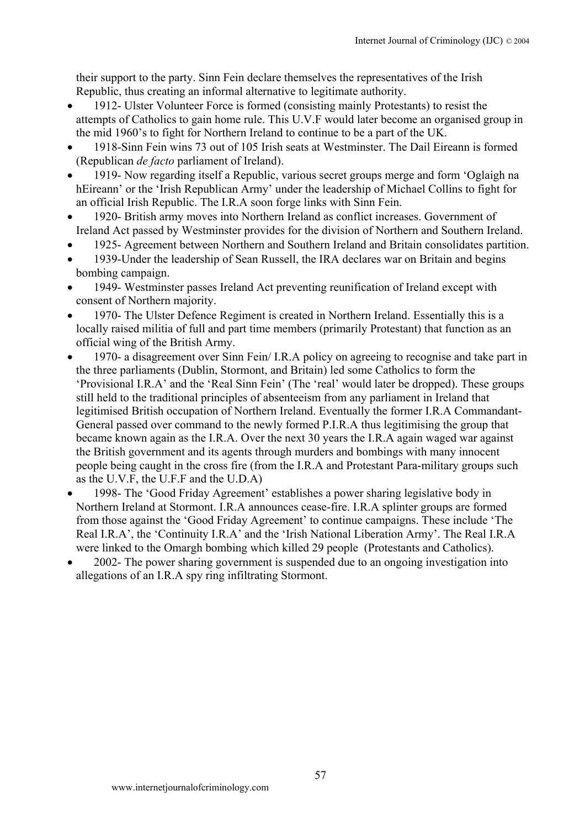their support to the party. Sinn Fein declare themselves the representatives of the Irish Republic, thus creating an informal alternative to legitimate authority.

- 1912- Ulster Volunteer Force is formed (consisting mainly Protestants) to resist the attempts of Catholics to gain home rule. This U.V.F would later become an organised group in the mid 1960's to fight for Northern Ireland to continue to be a part of the UK.
- 1918-Sinn Fein wins 73 out of 105 Irish seats at Westminster. The Dail Eireann is formed (Republican *de facto* parliament of Ireland).
- 1919- Now regarding itself a Republic, various secret groups merge and form 'Oglaigh na hEireann' or the 'Irish Republican Army' under the leadership of Michael Collins to fight for an official Irish Republic. The I.R.A soon forge links with Sinn Fein.
- 1920- British army moves into Northern Ireland as conflict increases. Government of Ireland Act passed by Westminster provides for the division of Northern and Southern Ireland.
- 1925- Agreement between Northern and Southern Ireland and Britain consolidates partition.
- 1939-Under the leadership of Sean Russell, the IRA declares war on Britain and begins bombing campaign.
- 1949- Westminster passes Ireland Act preventing reunification of Ireland except with consent of Northern majority.
- 1970- The Ulster Defence Regiment is created in Northern Ireland. Essentially this is a locally raised militia of full and part time members (primarily Protestant) that function as an official wing of the British Army.
- 1970- a disagreement over Sinn Fein/ I.R.A policy on agreeing to recognise and take part in the three parliaments (Dublin, Stormont, and Britain) led some Catholics to form the 'Provisional I.R.A' and the 'Real Sinn Fein' (The 'real' would later be dropped). These groups still held to the traditional principles of absenteeism from any parliament in Ireland that legitimised British occupation of Northern Ireland. Eventually the former I.R.A Commandant-General passed over command to the newly formed P.I.R.A thus legitimising the group that became known again as the I.R.A. Over the next 30 years the I.R.A again waged war against the British government and its agents through murders and bombings with many innocent people being caught in the cross fire (from the I.R.A and Protestant Para-military groups such as the U.V.F, the U.F.F and the U.D.A)
- 1998- The 'Good Friday Agreement' establishes a power sharing legislative body in Northern Ireland at Stormont. I.R.A announces cease-fire. I.R.A splinter groups are formed from those against the 'Good Friday Agreement' to continue campaigns. These include 'The Real I.R.A', the 'Continuity I.R.A' and the 'Irish National Liberation Army'. The Real I.R.A were linked to the Omargh bombing which killed 29 people (Protestants and Catholics).
- 2002- The power sharing government is suspended due to an ongoing investigation into allegations of an I.R.A spy ring infiltrating Stormont.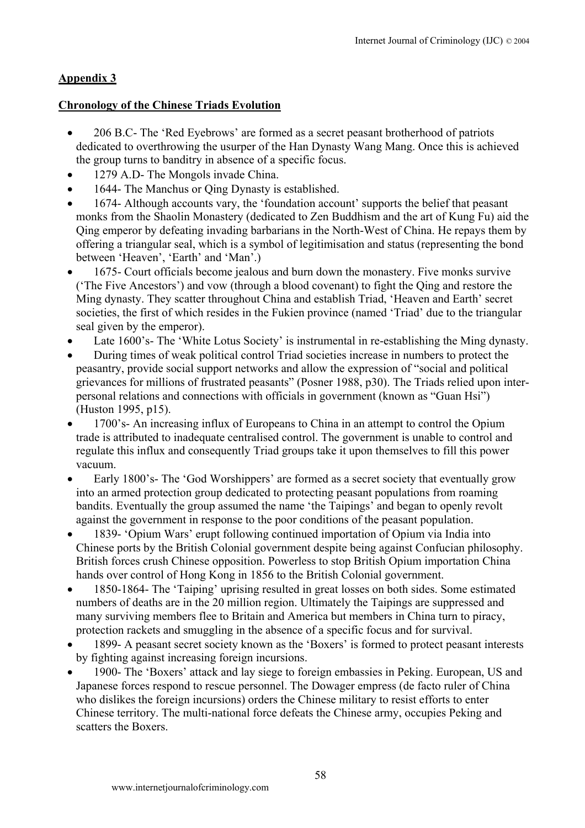# **Appendix 3**

## **Chronology of the Chinese Triads Evolution**

- 206 B.C- The 'Red Eyebrows' are formed as a secret peasant brotherhood of patriots dedicated to overthrowing the usurper of the Han Dynasty Wang Mang. Once this is achieved the group turns to banditry in absence of a specific focus.
- 1279 A.D- The Mongols invade China.
- 1644- The Manchus or Qing Dynasty is established.
- 1674- Although accounts vary, the 'foundation account' supports the belief that peasant monks from the Shaolin Monastery (dedicated to Zen Buddhism and the art of Kung Fu) aid the Qing emperor by defeating invading barbarians in the North-West of China. He repays them by offering a triangular seal, which is a symbol of legitimisation and status (representing the bond between 'Heaven', 'Earth' and 'Man'.)
- 1675- Court officials become jealous and burn down the monastery. Five monks survive ('The Five Ancestors') and vow (through a blood covenant) to fight the Qing and restore the Ming dynasty. They scatter throughout China and establish Triad, 'Heaven and Earth' secret societies, the first of which resides in the Fukien province (named 'Triad' due to the triangular seal given by the emperor).
- Late 1600's- The 'White Lotus Society' is instrumental in re-establishing the Ming dynasty.
- During times of weak political control Triad societies increase in numbers to protect the peasantry, provide social support networks and allow the expression of "social and political grievances for millions of frustrated peasants" (Posner 1988, p30). The Triads relied upon interpersonal relations and connections with officials in government (known as "Guan Hsi") (Huston 1995, p15).
- 1700's- An increasing influx of Europeans to China in an attempt to control the Opium trade is attributed to inadequate centralised control. The government is unable to control and regulate this influx and consequently Triad groups take it upon themselves to fill this power vacuum.
- Early 1800's- The 'God Worshippers' are formed as a secret society that eventually grow into an armed protection group dedicated to protecting peasant populations from roaming bandits. Eventually the group assumed the name 'the Taipings' and began to openly revolt against the government in response to the poor conditions of the peasant population.
- 1839- 'Opium Wars' erupt following continued importation of Opium via India into Chinese ports by the British Colonial government despite being against Confucian philosophy. British forces crush Chinese opposition. Powerless to stop British Opium importation China hands over control of Hong Kong in 1856 to the British Colonial government.
- 1850-1864- The 'Taiping' uprising resulted in great losses on both sides. Some estimated numbers of deaths are in the 20 million region. Ultimately the Taipings are suppressed and many surviving members flee to Britain and America but members in China turn to piracy, protection rackets and smuggling in the absence of a specific focus and for survival.
- 1899- A peasant secret society known as the 'Boxers' is formed to protect peasant interests by fighting against increasing foreign incursions.
- 1900- The 'Boxers' attack and lay siege to foreign embassies in Peking. European, US and Japanese forces respond to rescue personnel. The Dowager empress (de facto ruler of China who dislikes the foreign incursions) orders the Chinese military to resist efforts to enter Chinese territory. The multi-national force defeats the Chinese army, occupies Peking and scatters the Boxers.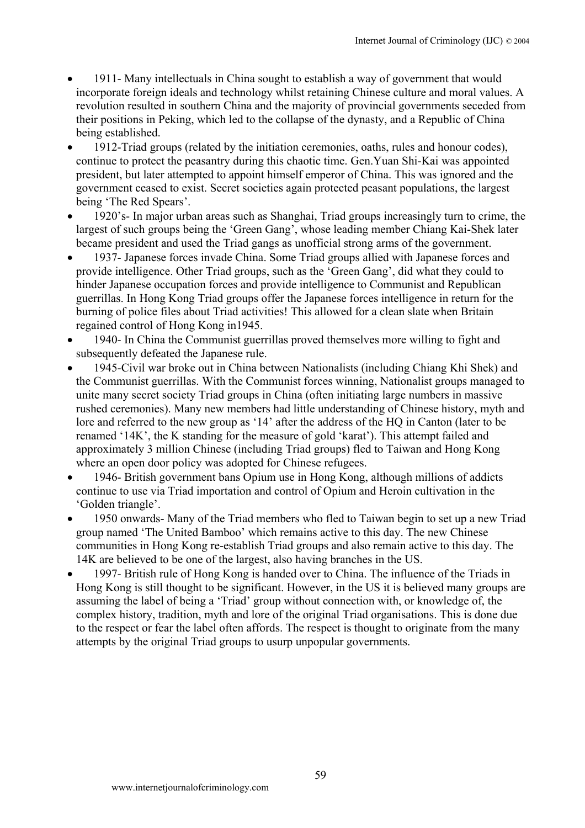- 1911- Many intellectuals in China sought to establish a way of government that would incorporate foreign ideals and technology whilst retaining Chinese culture and moral values. A revolution resulted in southern China and the majority of provincial governments seceded from their positions in Peking, which led to the collapse of the dynasty, and a Republic of China being established.
- 1912-Triad groups (related by the initiation ceremonies, oaths, rules and honour codes), continue to protect the peasantry during this chaotic time. Gen.Yuan Shi-Kai was appointed president, but later attempted to appoint himself emperor of China. This was ignored and the government ceased to exist. Secret societies again protected peasant populations, the largest being 'The Red Spears'.
- 1920's- In major urban areas such as Shanghai, Triad groups increasingly turn to crime, the largest of such groups being the 'Green Gang', whose leading member Chiang Kai-Shek later became president and used the Triad gangs as unofficial strong arms of the government.
- 1937- Japanese forces invade China. Some Triad groups allied with Japanese forces and provide intelligence. Other Triad groups, such as the 'Green Gang', did what they could to hinder Japanese occupation forces and provide intelligence to Communist and Republican guerrillas. In Hong Kong Triad groups offer the Japanese forces intelligence in return for the burning of police files about Triad activities! This allowed for a clean slate when Britain regained control of Hong Kong in1945.
- 1940- In China the Communist guerrillas proved themselves more willing to fight and subsequently defeated the Japanese rule.
- 1945-Civil war broke out in China between Nationalists (including Chiang Khi Shek) and the Communist guerrillas. With the Communist forces winning, Nationalist groups managed to unite many secret society Triad groups in China (often initiating large numbers in massive rushed ceremonies). Many new members had little understanding of Chinese history, myth and lore and referred to the new group as '14' after the address of the HQ in Canton (later to be renamed '14K', the K standing for the measure of gold 'karat'). This attempt failed and approximately 3 million Chinese (including Triad groups) fled to Taiwan and Hong Kong where an open door policy was adopted for Chinese refugees.
- 1946- British government bans Opium use in Hong Kong, although millions of addicts continue to use via Triad importation and control of Opium and Heroin cultivation in the 'Golden triangle'.
- 1950 onwards- Many of the Triad members who fled to Taiwan begin to set up a new Triad group named 'The United Bamboo' which remains active to this day. The new Chinese communities in Hong Kong re-establish Triad groups and also remain active to this day. The 14K are believed to be one of the largest, also having branches in the US.
- 1997- British rule of Hong Kong is handed over to China. The influence of the Triads in Hong Kong is still thought to be significant. However, in the US it is believed many groups are assuming the label of being a 'Triad' group without connection with, or knowledge of, the complex history, tradition, myth and lore of the original Triad organisations. This is done due to the respect or fear the label often affords. The respect is thought to originate from the many attempts by the original Triad groups to usurp unpopular governments.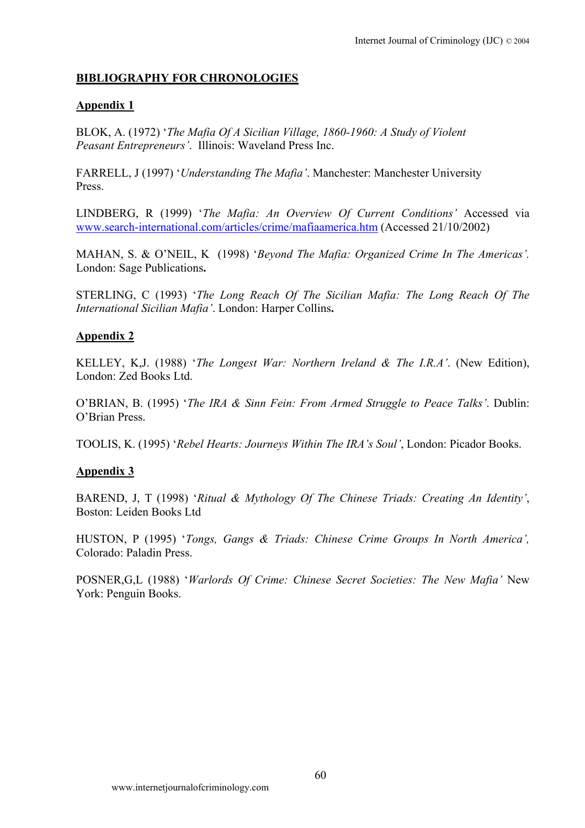# **BIBLIOGRAPHY FOR CHRONOLOGIES**

# **Appendix 1**

BLOK, A. (1972) '*The Mafia Of A Sicilian Village, 1860-1960: A Study of Violent Peasant Entrepreneurs'*. Illinois: Waveland Press Inc.

FARRELL, J (1997) '*Understanding The Mafia'*. Manchester: Manchester University Press.

LINDBERG, R (1999) '*The Mafia: An Overview Of Current Conditions'* Accessed via [www.search-international.com/articles/crime/mafiaamerica.htm](http://www.search-international.com/articles/crime/mafiaamerica.htm) (Accessed 21/10/2002)

MAHAN, S. & O'NEIL, K (1998) '*Beyond The Mafia: Organized Crime In The Americas'.* London: Sage Publications**.**

STERLING, C (1993) '*The Long Reach Of The Sicilian Mafia: The Long Reach Of The International Sicilian Mafia'*. London: Harper Collins**.** 

# **Appendix 2**

KELLEY, K,J. (1988) '*The Longest War: Northern Ireland & The I.R.A'*. (New Edition), London: Zed Books Ltd.

O'BRIAN, B. (1995) '*The IRA & Sinn Fein: From Armed Struggle to Peace Talks'*. Dublin: O'Brian Press.

TOOLIS, K. (1995) '*Rebel Hearts: Journeys Within The IRA's Soul'*, London: Picador Books.

# **Appendix 3**

BAREND, J, T (1998) '*Ritual & Mythology Of The Chinese Triads: Creating An Identity'*, Boston: Leiden Books Ltd

HUSTON, P (1995) '*Tongs, Gangs & Triads: Chinese Crime Groups In North America',* Colorado: Paladin Press.

POSNER,G,L (1988) '*Warlords Of Crime: Chinese Secret Societies: The New Mafia'* New York: Penguin Books.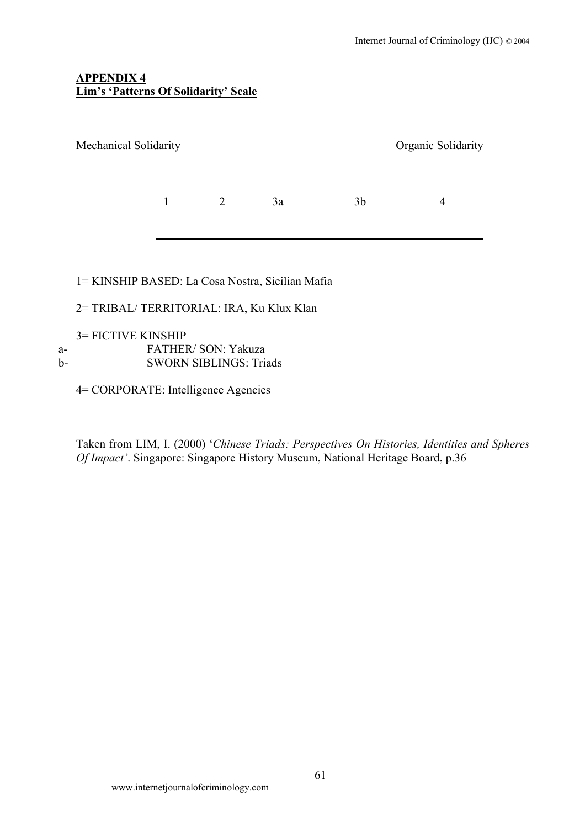## **APPENDIX 4 Lim's 'Patterns Of Solidarity' Scale**

## Mechanical Solidarity Organic Solidarity

1 2 3a 3b 4

# 1= KINSHIP BASED: La Cosa Nostra, Sicilian Mafia

# 2= TRIBAL/ TERRITORIAL: IRA, Ku Klux Klan

## 3= FICTIVE KINSHIP

- a- FATHER/ SON: Yakuza b- SWORN SIBLINGS: Triads
	-

4= CORPORATE: Intelligence Agencies

Taken from LIM, I. (2000) '*Chinese Triads: Perspectives On Histories, Identities and Spheres Of Impact'*. Singapore: Singapore History Museum, National Heritage Board, p.36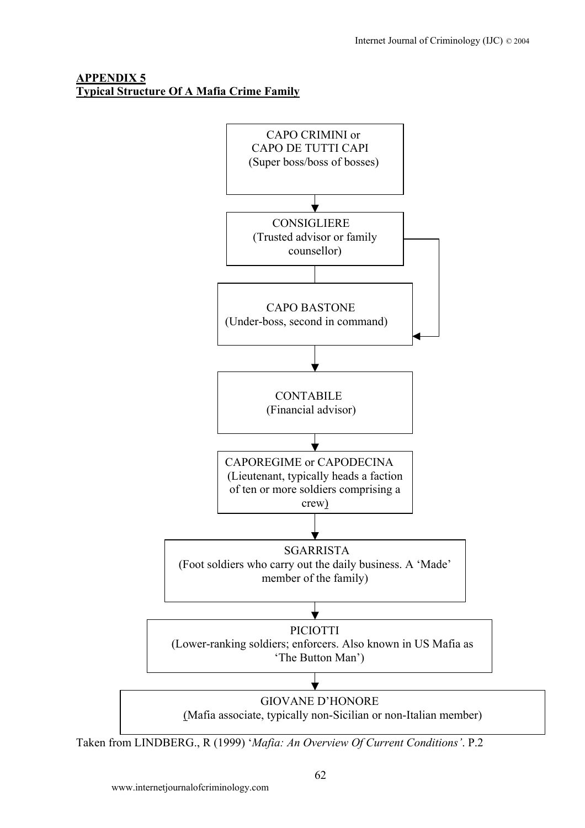# **APPENDIX 5 Typical Structure Of A Mafia Crime Family**



Taken from LINDBERG., R (1999) '*Mafia: An Overview Of Current Conditions'*. P.2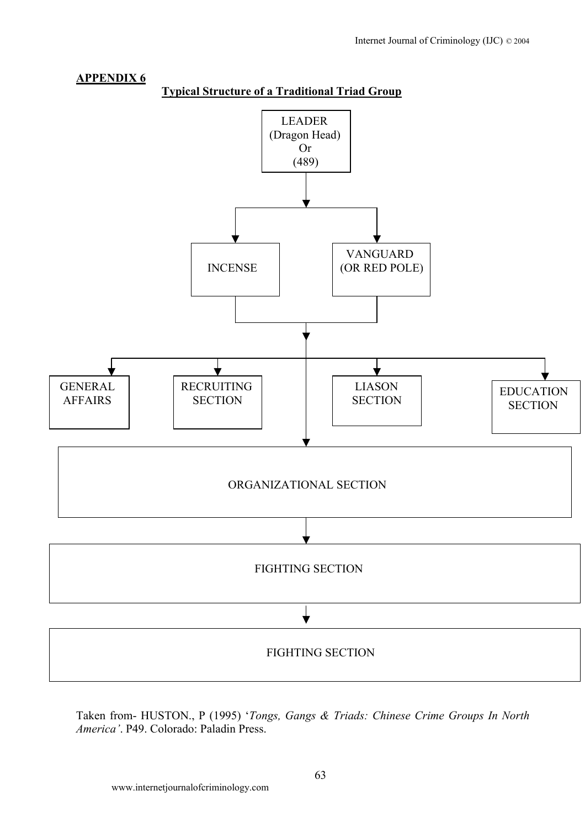

Taken from- HUSTON., P (1995) '*Tongs, Gangs & Triads: Chinese Crime Groups In North America'*. P49. Colorado: Paladin Press.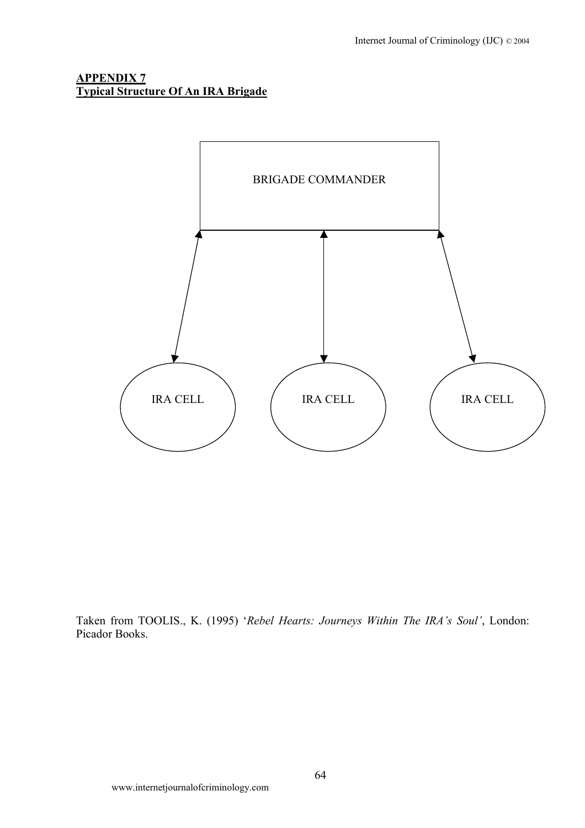## **APPENDIX 7 Typical Structure Of An IRA Brigade**



Taken from TOOLIS., K. (1995) '*Rebel Hearts: Journeys Within The IRA's Soul'*, London: Picador Books.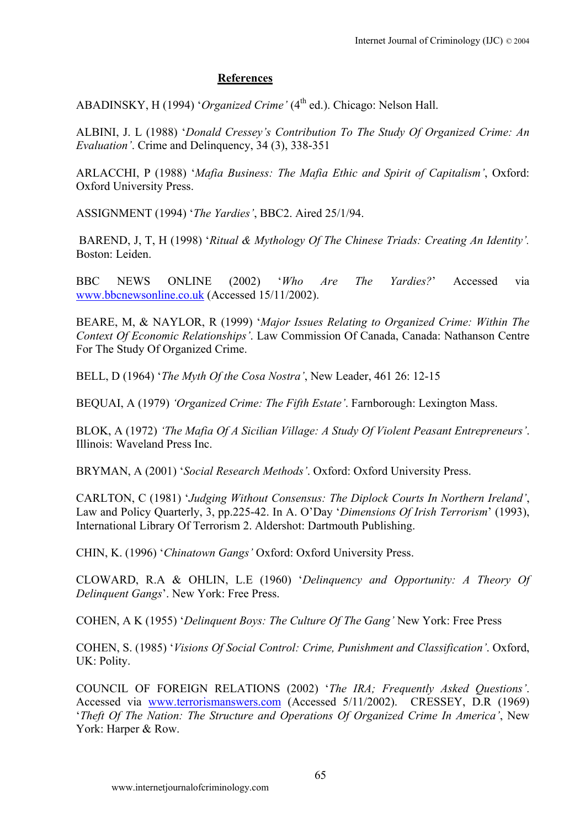# **References**

ABADINSKY, H (1994) '*Organized Crime*' (4<sup>th</sup> ed.). Chicago: Nelson Hall.

ALBINI, J. L (1988) '*Donald Cressey's Contribution To The Study Of Organized Crime: An Evaluation'*. Crime and Delinquency, 34 (3), 338-351

ARLACCHI, P (1988) '*Mafia Business: The Mafia Ethic and Spirit of Capitalism'*, Oxford: Oxford University Press.

ASSIGNMENT (1994) '*The Yardies'*, BBC2. Aired 25/1/94.

BAREND, J, T, H (1998) '*Ritual & Mythology Of The Chinese Triads: Creating An Identity'.* Boston: Leiden.

BBC NEWS ONLINE (2002) '*Who Are The Yardies?*' Accessed via [www.bbcnewsonline.co.uk](http://www.bbcnewsonline.co.uk/) (Accessed 15/11/2002).

BEARE, M, & NAYLOR, R (1999) '*Major Issues Relating to Organized Crime: Within The Context Of Economic Relationships'*. Law Commission Of Canada, Canada: Nathanson Centre For The Study Of Organized Crime.

BELL, D (1964) '*The Myth Of the Cosa Nostra'*, New Leader, 461 26: 12-15

BEQUAI, A (1979) *'Organized Crime: The Fifth Estate'*. Farnborough: Lexington Mass.

BLOK, A (1972) *'The Mafia Of A Sicilian Village: A Study Of Violent Peasant Entrepreneurs'*. Illinois: Waveland Press Inc.

BRYMAN, A (2001) '*Social Research Methods'*. Oxford: Oxford University Press.

CARLTON, C (1981) '*Judging Without Consensus: The Diplock Courts In Northern Ireland'*, Law and Policy Quarterly, 3, pp.225-42. In A. O'Day '*Dimensions Of Irish Terrorism*' (1993), International Library Of Terrorism 2. Aldershot: Dartmouth Publishing.

CHIN, K. (1996) '*Chinatown Gangs'* Oxford: Oxford University Press.

CLOWARD, R.A & OHLIN, L.E (1960) '*Delinquency and Opportunity: A Theory Of Delinquent Gangs*'. New York: Free Press.

COHEN, A K (1955) '*Delinquent Boys: The Culture Of The Gang'* New York: Free Press

COHEN, S. (1985) '*Visions Of Social Control: Crime, Punishment and Classification'*. Oxford, UK: Polity.

COUNCIL OF FOREIGN RELATIONS (2002) '*The IRA; Frequently Asked Questions'*. Accessed via [www.terrorismanswers.com](http://www.terrorismanswers.com/) (Accessed 5/11/2002). CRESSEY, D.R (1969) '*Theft Of The Nation: The Structure and Operations Of Organized Crime In America'*, New York: Harper & Row.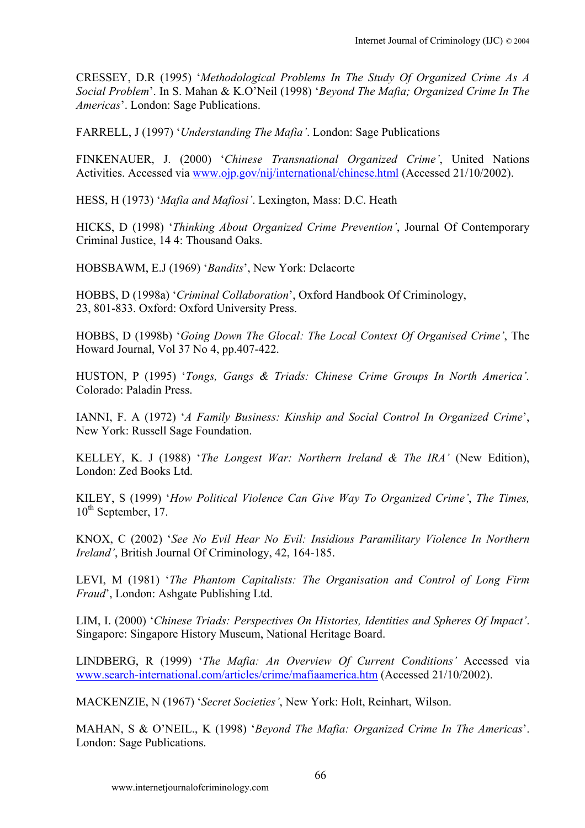CRESSEY, D.R (1995) '*Methodological Problems In The Study Of Organized Crime As A Social Problem*'. In S. Mahan & K.O'Neil (1998) '*Beyond The Mafia; Organized Crime In The Americas*'. London: Sage Publications.

FARRELL, J (1997) '*Understanding The Mafia'*. London: Sage Publications

FINKENAUER, J. (2000) '*Chinese Transnational Organized Crime'*, United Nations Activities. Accessed via [www.ojp.gov/nij/international/chinese.html](http://www.ojp.gov/nij/international/chinese.html) (Accessed 21/10/2002).

HESS, H (1973) '*Mafia and Mafiosi'*. Lexington, Mass: D.C. Heath

HICKS, D (1998) '*Thinking About Organized Crime Prevention'*, Journal Of Contemporary Criminal Justice, 14 4: Thousand Oaks.

HOBSBAWM, E.J (1969) '*Bandits*', New York: Delacorte

HOBBS, D (1998a) '*Criminal Collaboration*', Oxford Handbook Of Criminology, 23, 801-833. Oxford: Oxford University Press.

HOBBS, D (1998b) '*Going Down The Glocal: The Local Context Of Organised Crime'*, The Howard Journal, Vol 37 No 4, pp.407-422.

HUSTON, P (1995) '*Tongs, Gangs & Triads: Chinese Crime Groups In North America'.*  Colorado: Paladin Press.

IANNI, F. A (1972) '*A Family Business: Kinship and Social Control In Organized Crime*', New York: Russell Sage Foundation.

KELLEY, K. J (1988) '*The Longest War: Northern Ireland & The IRA'* (New Edition), London: Zed Books Ltd.

KILEY, S (1999) '*How Political Violence Can Give Way To Organized Crime'*, *The Times,* 10<sup>th</sup> September, 17.

KNOX, C (2002) '*See No Evil Hear No Evil: Insidious Paramilitary Violence In Northern Ireland'*, British Journal Of Criminology, 42, 164-185.

LEVI, M (1981) '*The Phantom Capitalists: The Organisation and Control of Long Firm Fraud*', London: Ashgate Publishing Ltd.

LIM, I. (2000) '*Chinese Triads: Perspectives On Histories, Identities and Spheres Of Impact'*. Singapore: Singapore History Museum, National Heritage Board.

LINDBERG, R (1999) '*The Mafia: An Overview Of Current Conditions'* Accessed via [www.search-international.com/articles/crime/mafiaamerica.htm](http://www.search-international.com/articles/crime/mafiaamerica.htm) (Accessed 21/10/2002).

MACKENZIE, N (1967) '*Secret Societies'*, New York: Holt, Reinhart, Wilson.

MAHAN, S & O'NEIL., K (1998) '*Beyond The Mafia: Organized Crime In The Americas*'. London: Sage Publications.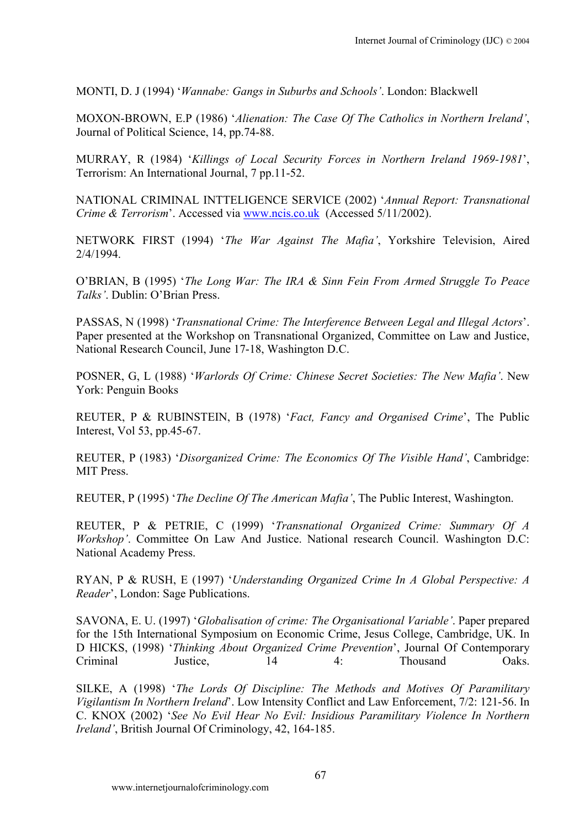MONTI, D. J (1994) '*Wannabe: Gangs in Suburbs and Schools'*. London: Blackwell

MOXON-BROWN, E.P (1986) '*Alienation: The Case Of The Catholics in Northern Ireland'*, Journal of Political Science, 14, pp.74-88.

MURRAY, R (1984) '*Killings of Local Security Forces in Northern Ireland 1969-1981*', Terrorism: An International Journal, 7 pp.11-52.

NATIONAL CRIMINAL INTTELIGENCE SERVICE (2002) '*Annual Report: Transnational Crime & Terrorism*'. Accessed via [www.ncis.co.uk](http://www.ncis.co.uk/) (Accessed 5/11/2002).

NETWORK FIRST (1994) '*The War Against The Mafia'*, Yorkshire Television, Aired 2/4/1994.

O'BRIAN, B (1995) '*The Long War: The IRA & Sinn Fein From Armed Struggle To Peace Talks'*. Dublin: O'Brian Press.

PASSAS, N (1998) '*Transnational Crime: The Interference Between Legal and Illegal Actors*'. Paper presented at the Workshop on Transnational Organized, Committee on Law and Justice, National Research Council, June 17-18, Washington D.C.

POSNER, G, L (1988) '*Warlords Of Crime: Chinese Secret Societies: The New Mafia'*. New York: Penguin Books

REUTER, P & RUBINSTEIN, B (1978) '*Fact, Fancy and Organised Crime*', The Public Interest, Vol 53, pp.45-67.

REUTER, P (1983) '*Disorganized Crime: The Economics Of The Visible Hand'*, Cambridge: MIT Press.

REUTER, P (1995) '*The Decline Of The American Mafia'*, The Public Interest, Washington.

REUTER, P & PETRIE, C (1999) '*Transnational Organized Crime: Summary Of A Workshop'*. Committee On Law And Justice. National research Council. Washington D.C: National Academy Press.

RYAN, P & RUSH, E (1997) '*Understanding Organized Crime In A Global Perspective: A Reader*', London: Sage Publications.

SAVONA, E. U. (1997) '*Globalisation of crime: The Organisational Variable'*. Paper prepared for the 15th International Symposium on Economic Crime, Jesus College, Cambridge, UK. In D HICKS, (1998) '*Thinking About Organized Crime Prevention*', Journal Of Contemporary Criminal Justice, 14 4: Thousand Oaks.

SILKE, A (1998) '*The Lords Of Discipline: The Methods and Motives Of Paramilitary Vigilantism In Northern Ireland*'. Low Intensity Conflict and Law Enforcement, 7/2: 121-56. In C. KNOX (2002) '*See No Evil Hear No Evil: Insidious Paramilitary Violence In Northern Ireland'*, British Journal Of Criminology, 42, 164-185.